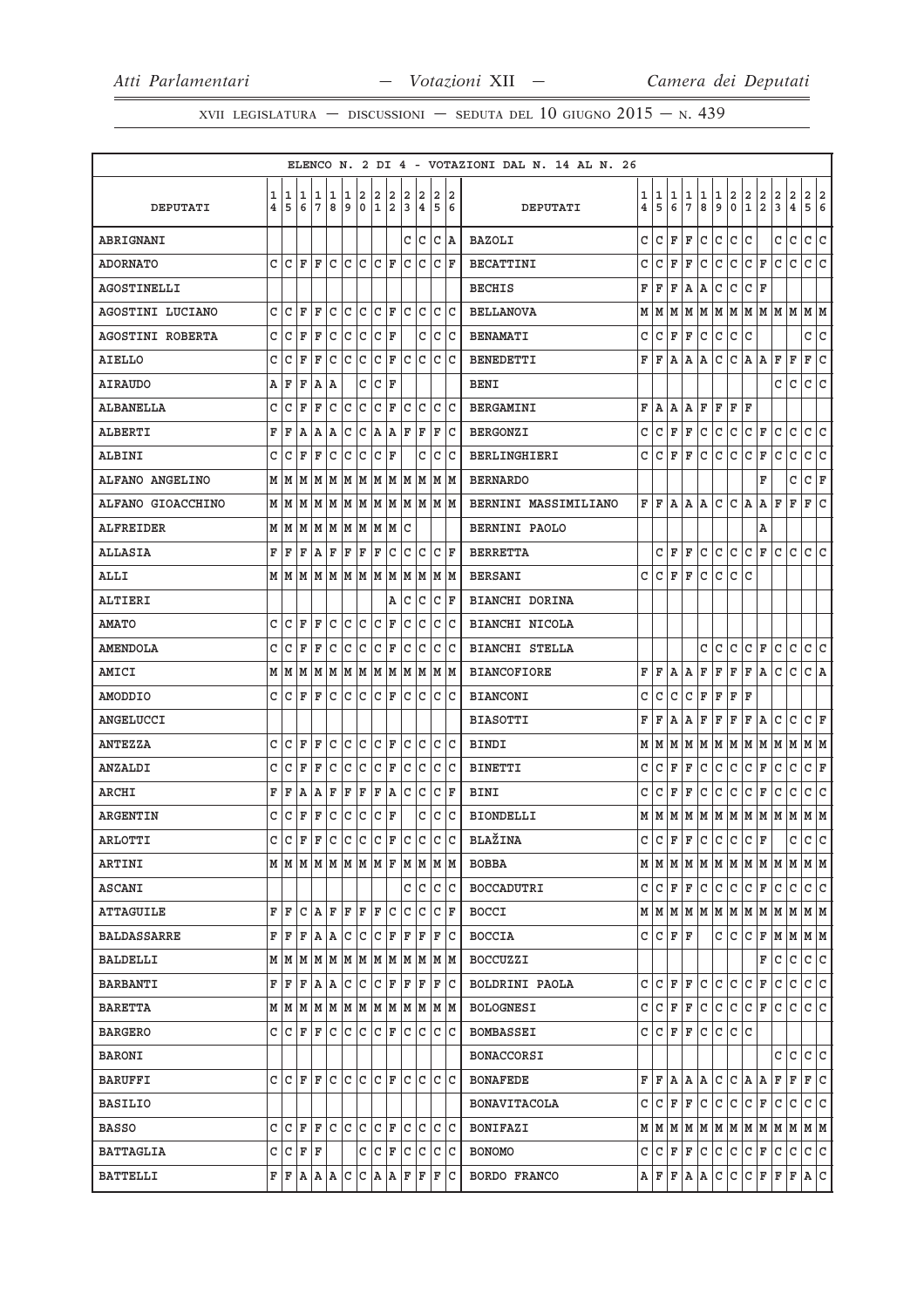XVII LEGISLATURA – DISCUSSIONI – SEDUTA DEL 10 GIUGNO  $2015 - N.439$ 

|                    |   |         |     |                         |     |              |             |              |         |              |                         |              |       | ELENCO N. 2 DI 4 - VOTAZIONI DAL N. 14 AL N. 26 |   |             |    |             |                |              |                |                  |                                         |               |                    |                                                                             |                         |
|--------------------|---|---------|-----|-------------------------|-----|--------------|-------------|--------------|---------|--------------|-------------------------|--------------|-------|-------------------------------------------------|---|-------------|----|-------------|----------------|--------------|----------------|------------------|-----------------------------------------|---------------|--------------------|-----------------------------------------------------------------------------|-------------------------|
|                    | 1 |         | 1 1 | 1                       | 1   | 1            | 2           | 2            | 2       | 2            | 2                       | 2            | 2     |                                                 | 1 | 1           | 1  | 1           | 1              | $\mathbf{1}$ | $\overline{2}$ |                  |                                         |               | $\mathbf 2$        | 2 2                                                                         |                         |
| DEPUTATI           | 4 | 5       | 6   | 7                       | 8   | 9            | $\mathbf 0$ | 1            | 2       | 3            | $\overline{\mathbf{4}}$ | 5            | 16    | DEPUTATI                                        | 4 | 5           | 6  | 7           | 8              | 9            | $\mathsf 0$    | $\frac{2}{1}$    | $\frac{2}{2}$                           | $\frac{2}{3}$ | $\overline{\bf 4}$ | 5                                                                           | 6                       |
| ABRIGNANI          |   |         |     |                         |     |              |             |              |         | С            | c                       | $\mathtt{C}$ | A     | <b>BAZOLI</b>                                   | C | C           | F  | F           | C              | $\mathtt{C}$ | c.             | $\mathtt{C}$     |                                         | C             | $\mathtt{C}$       | C                                                                           | c                       |
| <b>ADORNATO</b>    | C | lc      | l F | F                       | C   | lc.          | lc.         | C  F         |         | C            | lc                      | lc.          | ΙF    | <b>BECATTINI</b>                                | C | c           | F  | F           | C              |              | c c            | $ C $ F          |                                         | C             | $\mathtt{C}$       | c c                                                                         |                         |
| <b>AGOSTINELLI</b> |   |         |     |                         |     |              |             |              |         |              |                         |              |       | <b>BECHIS</b>                                   | F | F           | F  | Α           | Α              | С            | C              | C F              |                                         |               |                    |                                                                             |                         |
| AGOSTINI LUCIANO   | C | l C     | ΙF  | F                       | lc. | lc.          | lc          | $ C $ F      |         | c c          |                         | c c          |       | <b>BELLANOVA</b>                                | М |             |    |             |                |              |                |                  |                                         |               |                    | M M M M M M M M M M M M M                                                   |                         |
| AGOSTINI ROBERTA   | C | C       | F   | F                       | C   | C            | C           | С            | ΙF      |              | C                       | C            | lc.   | <b>BENAMATI</b>                                 | C | c           | F  | F           | c              | C            | c.             | С                |                                         |               |                    | c c                                                                         |                         |
| AIELLO             | C | C       | F   | ΙF                      | C   | lc.          | lc.         | lc.          | ΙF      | lc.          | lc.                     |              | C C   | BENEDETTI                                       |   | F F A       |    |             | A   A          |              | C C A          |                  | Α                                       | F             | F                  | F                                                                           | c                       |
| <b>AIRAUDO</b>     | Α | F       | F   | ١A                      | A   |              | C           | C            | ΙF      |              |                         |              |       | <b>BENI</b>                                     |   |             |    |             |                |              |                |                  |                                         | С             | $\mathtt{C}$       | c                                                                           | C                       |
| ALBANELLA          | C | C       | F   | F                       | c   | c            | c           | $\mathtt{C}$ | F       | $\mathtt{C}$ | lc                      | C            | lc.   | <b>BERGAMINI</b>                                | F |             |    |             |                |              | A A A F F F F  |                  |                                         |               |                    |                                                                             |                         |
| <b>ALBERTI</b>     | F | ΙF      | А   | A                       | ΙA  | C            | C           | A            | ΙA      | ΙF           | F                       | F            | lc    | <b>BERGONZI</b>                                 | C |             |    | $C$ $F$ $F$ | c.             |              | c c            | $\mathsf{C}$     | F                                       | С             | $\mathtt{C}$       | C                                                                           | $\overline{\mathsf{C}}$ |
| <b>ALBINI</b>      | C | c       | F   | ΙF                      | C   | C            | C           | C            | ΙF      |              | C                       | C            | ΙC    | <b>BERLINGHIERI</b>                             | c | C F         |    | F           | C              | c            | lc.            | C F              |                                         | C             | С                  | C                                                                           | lc.                     |
| ALFANO ANGELINO    | М | M       | M   | M                       | M   | M            | M           |              | M  M  M |              | M                       |              | M M   | <b>BERNARDO</b>                                 |   |             |    |             |                |              |                |                  | F                                       |               | C                  | C F                                                                         |                         |
| ALFANO GIOACCHINO  |   | MM      | M   | M                       | M   | M            | M           | M            | M       | M            | M                       | lМ           | lМ    | BERNINI MASSIMILIANO                            | F | l F         | A  | Αl          | A              | c            | C A            |                  | Α                                       | F             | F                  | F                                                                           | C                       |
| ALFREIDER          | М | M       | M   | MM                      |     |              | M M         | M M          |         | C            |                         |              |       | <b>BERNINI PAOLO</b>                            |   |             |    |             |                |              |                |                  | Α                                       |               |                    |                                                                             |                         |
| <b>ALLASIA</b>     | F | F       | F   | A                       | F   | F            | F           | F            | C       | C            | c                       | C            | ΙF    | <b>BERRETTA</b>                                 |   | c           | F  | F           | С              | C            | c.             | C F              |                                         | С             | С                  | C                                                                           | lc.                     |
| ALLI               |   | M M M   |     | $M$ $M$ $M$ $M$ $M$ $M$ |     |              |             |              |         |              | M  M                    | M  M         |       | <b>BERSANI</b>                                  | C | $C$ $F$ $F$ |    |             | C              | $\mathtt{C}$ | c.             | $\mathtt{C}$     |                                         |               |                    |                                                                             |                         |
| ALTIERI            |   |         |     |                         |     |              |             |              | Α       | C            | lc                      | C            | ΙF    | BIANCHI DORINA                                  |   |             |    |             |                |              |                |                  |                                         |               |                    |                                                                             |                         |
| <b>AMATO</b>       | C | ١c      | F   | ΙF                      | C   | C            | Iс          | C            | ΙF      | C            | Iс                      | C            | ١c    | BIANCHI NICOLA                                  |   |             |    |             |                |              |                |                  |                                         |               |                    |                                                                             |                         |
| <b>AMENDOLA</b>    | C | C       | F   | ΙF                      | C   | c            | lc.         | c            | ΙF      | C            | lc                      | C            | ΙC    | <b>BIANCHI STELLA</b>                           |   |             |    |             | c              | С            | c              | C F              |                                         | c             | C                  | c c                                                                         |                         |
| AMICI              |   | MM      | M   | M                       | M   | M            | M           | MM           |         | lм           | M                       | M            | lМ    | <b>BIANCOFIORE</b>                              | F | F           | Α  | Α           | F              | F            | lF.            | F A              |                                         | c             | С                  | C A                                                                         |                         |
| AMODDIO            | c | lC.     | F   | ΙF                      | lc. | lc.          | lc.         | $ C $ F      |         | lc.          | Iс                      |              | c c   | <b>BIANCONI</b>                                 | С | С           | С  |             | C F            | F            | $\mathbf{F}$   | F                |                                         |               |                    |                                                                             |                         |
| ANGELUCCI          |   |         |     |                         |     |              |             |              |         |              |                         |              |       | <b>BIASOTTI</b>                                 | F | F           | Α  | Α           | F              | F F          |                | F A              |                                         | С             | c                  | C F                                                                         |                         |
| <b>ANTEZZA</b>     | C | C       | F   | F                       | lc. | $\mathtt{C}$ | lc          |              | C F     | $\mathtt{C}$ | c                       | lc lc        |       | BINDI                                           | М | MM          |    |             |                |              |                |                  |                                         |               |                    | M M M M M M M M M M                                                         |                         |
| ANZALDI            | C | C       | F   | F                       | C   | С            | с           | C            | ΙF      | C            | lc                      | C            | Iс    | <b>BINETTI</b>                                  | C | C F         |    | F           | C              |              | c c            | C F              |                                         | C             | $\mathtt{C}$       | C F                                                                         |                         |
| ARCHI              | F | F       | Α   | ١A                      | F   | ΙF           | F           | F            | ١A      | C            | lc                      | C            | ΙF    | <b>BINI</b>                                     | С | С           | F  | F           | С              | С            | C              | С                | F                                       | С             | С                  | C                                                                           | C                       |
| <b>ARGENTIN</b>    | C | C       | F   | F                       | l c | lc.          | c           | $ c _F$      |         |              | C                       | lc.          | lc.   | <b>BIONDELLI</b>                                |   |             |    |             |                |              |                |                  |                                         |               |                    | $M$   $M$   $M$   $M$   $M$   $M$   $M$   $M$   $M$   $M$   $M$   $M$   $M$ |                         |
| ARLOTTI            | C | l C     | ΙF  | ΙF                      | lc. | lc.          | lc          | c            | F       | c            | lc                      | C            | lc I  | <b>BLAŽINA</b>                                  |   |             |    |             | $c c _F _F c $ |              | c c            | $ c _F$          |                                         |               | c                  | c c                                                                         |                         |
| ARTINI             |   |         |     | MMMMMMMMF               |     |              |             |              |         |              | M M                     |              | M M   | BOBBA                                           |   |             |    |             |                |              |                |                  |                                         |               |                    | $M$   $M$   $M$   $M$   $M$   $M$   $M$   $M$   $M$   $M$   $M$   $M$   $M$ |                         |
| ASCANI             |   |         |     |                         |     |              |             |              |         | C            | c                       | C            | lc    | <b>BOCCADUTRI</b>                               | C | C F         |    | F           | c.             |              | c c            | $ C $ F          |                                         | C             | C                  | c c                                                                         |                         |
| <b>ATTAGUILE</b>   | F | ΙF      | C   | ١A                      | ΙF  | F            | ΙF          | ΙF           | C       | C            | C                       | C            | ΙF    | <b>BOCCI</b>                                    |   |             |    |             |                |              |                |                  | $M$ $M$ $M$ $M$ $M$ $M$ $M$ $M$ $M$ $M$ |               |                    | MMM                                                                         |                         |
| <b>BALDASSARRE</b> | F | F       | F   | A   A                   |     | С            | lc.         | С            | F       | ΙF           | ΙF                      | F            | IС    | <b>BOCCIA</b>                                   | c | $C$ $F$ $F$ |    |             |                |              | C C            |                  |                                         |               |                    | $C$ $F$ $M$ $M$ $M$                                                         |                         |
| <b>BALDELLI</b>    | М | M       | M   | M                       | M   | M            | M           | M            | M       | M            | M                       | M            | M     | <b>BOCCUZZI</b>                                 |   |             |    |             |                |              |                |                  | F                                       | С             | с                  | C                                                                           | lc.                     |
| <b>BARBANTI</b>    | F | F       | F   | A  A                    |     |              | c c         | $ c $ F      |         | F            | F                       | F            | C     | BOLDRINI PAOLA                                  | c | C F         |    | F           | С              | С            | lc.            | C                | F                                       | С             | С                  | c c                                                                         |                         |
| <b>BARETTA</b>     |   | MM      | M   | M                       | M   | M            | M           | MM           |         | M            | M                       |              | M M   | <b>BOLOGNESI</b>                                | C | С           | F  | F           | С              | C            | lc.            | c                | F                                       | С             | С                  | C                                                                           | lc.                     |
| <b>BARGERO</b>     | C | lc      | F   | F                       | l c | lc.          | c           | c            | F       | C            | IС                      | C            | C     | <b>BOMBASSEI</b>                                |   | CCF         |    | F           | c.             | C            | c c            |                  |                                         |               |                    |                                                                             |                         |
| BARONI             |   |         |     |                         |     |              |             |              |         |              |                         |              |       | <b>BONACCORSI</b>                               |   |             |    |             |                |              |                |                  |                                         | C             | c                  | C C                                                                         |                         |
| <b>BARUFFI</b>     | C | lc.     | ΙF  | F                       | C   | C            | lc.         | C            | ΙF      | C            | lc                      |              | lc Ic | <b>BONAFEDE</b>                                 |   | FF          | A  | A           | Α              | С            |                | $ C $ $\uparrow$ | Α                                       | F             | F                  | F                                                                           | l C                     |
| <b>BASILIO</b>     |   |         |     |                         |     |              |             |              |         |              |                         |              |       | <b>BONAVITACOLA</b>                             | C |             | CF | F           | c.             |              | C C            | $ C $ F          |                                         | С             | С                  | C C                                                                         |                         |
| <b>BASSO</b>       | C | ١c      | ΙF  | F                       | lc. | lc.          | lc          | lc.          | ΙF      | С            | lc                      | C            | ΙC    | <b>BONIFAZI</b>                                 |   |             |    |             |                |              |                |                  |                                         |               |                    | $M$   $M$   $M$   $M$   $M$   $M$   $M$   $M$   $M$   $M$   $M$   $M$   $M$ |                         |
| BATTAGLIA          |   | C C F F |     |                         |     |              | C           | C F          |         | c c          |                         |              | c c   | <b>BONOMO</b>                                   | C |             |    | C F F       | c              |              | C C            | C F              |                                         | C             | C                  | c c                                                                         |                         |
| <b>BATTELLI</b>    | F | ΙF      | Α   | A                       | A   | C            | С           | A            | A       | F            | F                       | F            | IС    | BORDO FRANCO                                    | Α | F F         |    |             | A   A          | С            | c              | C F              |                                         | F             | F                  | A C                                                                         |                         |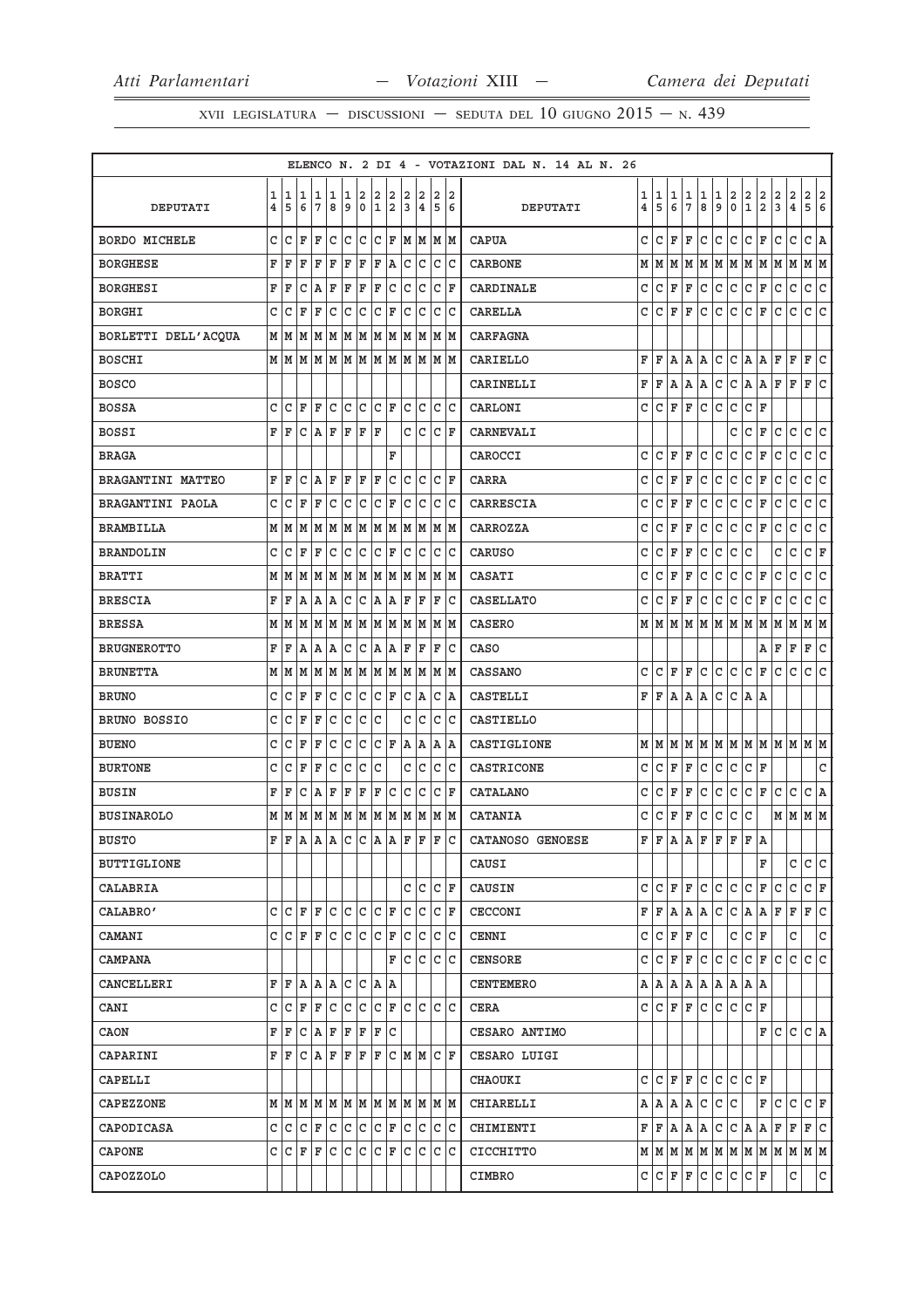XVII LEGISLATURA — DISCUSSIONI — SEDUTA DEL 10 GIUGNO  $2015$  – N. 439

|                      |                         |                     |              |         |              |                                  |            |                         |                    |                |                              |                |                        | ELENCO N. 2 DI 4 - VOTAZIONI DAL N. 14 AL N. 26 |   |              |     |                |              |              |                         |                                                              |                   |                |                         |                    |
|----------------------|-------------------------|---------------------|--------------|---------|--------------|----------------------------------|------------|-------------------------|--------------------|----------------|------------------------------|----------------|------------------------|-------------------------------------------------|---|--------------|-----|----------------|--------------|--------------|-------------------------|--------------------------------------------------------------|-------------------|----------------|-------------------------|--------------------|
|                      | 1                       | 1                   | 11           | 1       | 1            | 1                                | 2          | $\overline{\mathbf{2}}$ | 2                  | $\overline{a}$ | 2                            | $\overline{a}$ | 2                      |                                                 | 1 | 1            | 1   | 1              | 1            | 1            | $\overline{\mathbf{2}}$ |                                                              | 2                 | 2              | $\overline{\mathbf{c}}$ | 2<br>2             |
| DEPUTATI             | $\overline{\mathbf{4}}$ | 5                   | 6            | 7       | 8            | و ا                              | ۱o         | 1                       | 2                  | 3              | 4                            | 5              | 6                      | DEPUTATI                                        | 4 | 5            | 6   | $\overline{7}$ | 8            | 9            | $\mathbf 0$             | $\left  \begin{smallmatrix} 2 \ 1 \end{smallmatrix} \right.$ | 2                 | $\overline{3}$ | $\overline{\mathbf{4}}$ | 5<br>6             |
| <b>BORDO MICHELE</b> | C                       | C                   | F            | F       | c            | c c                              |            |                         | $ c _{\mathbf{F}}$ |                | $M$ $M$ $M$                  |                |                        | <b>CAPUA</b>                                    | C | $\mathtt{C}$ | F   | F              | $\mathtt{C}$ | c            | c                       | c                                                            | F                 | c              | $\mathtt{C}$            | $ c $ A            |
| <b>BORGHESE</b>      | F                       | F                   | F            | F       | F            | F                                | F          | F                       | A)                 |                | c c                          |                | c c                    | <b>CARBONE</b>                                  | М | M            | M   | M              |              |              |                         |                                                              | M   M   M   M   M |                | M                       | MM                 |
| <b>BORGHESI</b>      | F                       | F                   | C            | ١A      | F            | F                                | ΙF         | F                       | lc                 | lc.            | lc.                          |                | $ {\tt C}\> {\tt F}\>$ | CARDINALE                                       | C | C            | F   | ΙF             | C            | $\mathsf{C}$ | $\mathtt{C}$            | c                                                            | F                 | lc             | $\mathtt{C}$            | $\mathtt{C}$<br> c |
| <b>BORGHI</b>        | C                       | C                   | ΙF           | F       | $\mathtt{C}$ | c                                | c          | $ C $ F                 |                    |                | c c                          |                | c c                    | <b>CARELLA</b>                                  | C | C            | F   | F              | C            | $\mathsf{C}$ | $\mathtt{C}$            | c                                                            | F                 | lc             | $\mathtt{C}$            | c<br>$\mathtt{C}$  |
| BORLETTI DELL'ACQUA  |                         | MM                  | M            |         |              |                                  |            |                         |                    |                | M  M  M  M  M  M  M  M  M  M |                |                        | <b>CARFAGNA</b>                                 |   |              |     |                |              |              |                         |                                                              |                   |                |                         |                    |
| <b>BOSCHI</b>        |                         |                     |              |         |              |                                  |            |                         |                    |                | MMMMMMMMMMMMMM               |                |                        | CARIELLO                                        | F | F            | l A | Α              | Α            | $\mathtt{C}$ | $\mathtt{C}$            | A,                                                           | Α                 | F              | F                       | c<br>F             |
| <b>BOSCO</b>         |                         |                     |              |         |              |                                  |            |                         |                    |                |                              |                |                        | CARINELLI                                       | F | F            | l A | A              | Α            | $\mathtt{C}$ | $\mathtt{C}$            | A                                                            | ۱Ā.               | F              | F                       | c<br>F             |
| <b>BOSSA</b>         | C                       | $\mathsf{C}$        | F            | F       | c            | c c                              |            | $ c $ F                 |                    |                | c c                          |                | c c                    | CARLONI                                         | C | $\mathtt{C}$ | F   | F              | $\rm{C}$     | $\mathsf{C}$ | $\mathtt{C}$            | c                                                            | F                 |                |                         |                    |
| <b>BOSSI</b>         | F                       | F                   | C            | $A$ $F$ |              | F                                | ΙF         | F                       |                    |                | c c                          |                | $ c _F$                | CARNEVALI                                       |   |              |     |                |              |              | C                       | C                                                            | F                 | lc             | $\mathsf{C}$            | c<br> c            |
| <b>BRAGA</b>         |                         |                     |              |         |              |                                  |            |                         | F                  |                |                              |                |                        | CAROCCI                                         | C | C            | F   | $\mathbf F$    | C            | C            | C                       | C                                                            | $\mathbf F$       | C              | C                       | C<br>c             |
| BRAGANTINI MATTEO    | F                       | ΙF                  | $\mathtt{C}$ | AF      |              | F F                              |            | $ {\bf F} $             | c                  |                | c c                          |                | $ c _F$                | CARRA                                           | C | $\mathtt{C}$ | F   | F              | $\mathtt{C}$ | c            | c                       | c                                                            | F                 | lc.            | $\mathtt{C}$            | c<br>c.            |
| BRAGANTINI PAOLA     | C                       | C                   | F            | F       | $\mathtt{C}$ | lc                               | c          | c                       | F                  | $\mathtt{C}$   | lc                           |                | lc lc                  | CARRESCIA                                       | C | C            | F   | F              | C            | $\mathtt{C}$ | $\mathtt{C}$            | c                                                            | F                 | C              | C                       | c<br>c             |
| <b>BRAMBILLA</b>     |                         | M M                 | M            |         |              |                                  |            |                         |                    |                | M  M  M  M  M  M  M  M  M  M |                |                        | CARROZZA                                        | C | $\mathtt{C}$ | F   | F              | C            | $\mathtt{C}$ | $\mathtt{C}$            | c                                                            | F                 | c              | $\mathtt{C}$            | c<br>c             |
| <b>BRANDOLIN</b>     | C                       | C                   | $\mathbf F$  | F       | C            | c                                | c          | $ c $ F                 |                    |                | c c                          |                | c c                    | <b>CARUSO</b>                                   | C | C            | F   | F              | C            | C            | $\mathtt{C}$            | c                                                            |                   | C              | C                       | F<br>$\mathtt{C}$  |
| <b>BRATTI</b>        | М                       | lм                  | M            | M       | M            | M M                              |            |                         | MM                 |                | MM                           |                | MM                     | CASATI                                          | C | $\mathtt{C}$ | F   | F              | C            | $\mathtt{C}$ | $\mathsf{C}$            | c                                                            | F                 | c              | $\mathtt{C}$            | $\mathtt{C}$<br> c |
| <b>BRESCIA</b>       | F                       | F                   | A            | A A     |              | lc.                              | c          |                         | A A                | F              | ΙF                           | F              | c                      | <b>CASELLATO</b>                                | C | C            | F   | F              | С            | $\mathtt{C}$ | $\mathtt{C}$            | c                                                            | F                 | c              | C                       | c<br>c             |
| <b>BRESSA</b>        | М                       | lм                  | M            |         |              |                                  |            |                         |                    |                | M  M  M  M  M  M  M  M  M  M |                |                        | <b>CASERO</b>                                   |   | MM           | M   | lм             | M            |              | MMM                     |                                                              | M                 | M              | M                       | MM                 |
| <b>BRUGNEROTTO</b>   | F                       | F                   | A            | A A     |              | c c  <sub>A</sub>   <sub>A</sub> |            |                         |                    |                | F F                          |                | F C                    | CASO                                            |   |              |     |                |              |              |                         |                                                              | Α                 | F              | F                       | c<br>F             |
| <b>BRUNETTA</b>      | М                       | M                   | M            | M       |              |                                  |            |                         |                    |                | $ M M M $ M $ M M M $        |                | M M                    | <b>CASSANO</b>                                  | C | C            | F   | $\mathbf F$    | C            | $\mathsf{C}$ | c                       | c                                                            | F                 | C              | C                       | lc.<br>lc.         |
| <b>BRUNO</b>         | C                       | С                   | F            | F       | c            | c                                | c          | $ c $ F                 |                    |                | C A                          |                | c  a                   | <b>CASTELLI</b>                                 | F | F            | A   | A              | Α            | $\mathsf{C}$ | c                       | A.                                                           | ۱A                |                |                         |                    |
| BRUNO BOSSIO         | C                       | C                   | F            | F       | C            | c                                | c          | c                       |                    | C              | c                            |                | c c                    | CASTIELLO                                       |   |              |     |                |              |              |                         |                                                              |                   |                |                         |                    |
| <b>BUENO</b>         | C                       | C                   | F            | F       | C            | c                                | c          |                         | $ {\tt C}\, $ F    |                | A A                          |                | A  A                   | CASTIGLIONE                                     |   | MM           | M   | M              |              |              |                         |                                                              |                   |                |                         | м м м м м м м м м  |
| <b>BURTONE</b>       | C                       | C                   | F            | F       | C            | c                                | c          | c                       |                    | C              | c                            |                | c c                    | CASTRICONE                                      | C | $\mathtt{C}$ | F   | ΙF             | C            | $\mathtt{C}$ | $\mathtt{C}$            | c                                                            | F                 |                |                         | C                  |
| <b>BUSIN</b>         | F                       | F                   | C            | ١A      | F            | ΙF                               | ΙF         | F                       | c                  | lc.            | lc.                          |                | $ {\tt C}\, $ F        | CATALANO                                        | C | C            | F   | F              | C            | C            | $\mathtt{C}$            | l c                                                          | F                 | lc             | C                       | c<br> A            |
| <b>BUSINAROLO</b>    |                         |                     |              |         |              |                                  |            |                         |                    |                |                              |                |                        | <b>CATANIA</b>                                  | C | $\mathtt{C}$ | F   | F              | C            | $\mathtt{C}$ | c                       | c                                                            |                   | M              | M                       | MM                 |
| <b>BUSTO</b>         | F                       | ΙF                  | ١A           |         |              |                                  |            |                         |                    |                | A A C C A A F F              | ΙF             | lc                     | CATANOSO GENOESE                                | F | F            | l A | Α              | F            | $\mathbf F$  | F                       | F                                                            | ١A                |                |                         |                    |
| <b>BUTTIGLIONE</b>   |                         |                     |              |         |              |                                  |            |                         |                    |                |                              |                |                        | CAUSI                                           |   |              |     |                |              |              |                         |                                                              | F                 |                | C                       | c<br>lc.           |
| CALABRIA             |                         |                     |              |         |              |                                  |            |                         |                    |                | c c                          |                | C F                    | CAUSIN                                          | C | ГC           | F   | F              | $\mathtt{C}$ | lc.          | c                       | lc.                                                          | F                 | lc             | $\mathtt{C}$            | C F                |
| CALABRO'             |                         | C C F               |              | lF.     | lc.          | c c                              |            | $ C $ F                 |                    |                | C C                          |                | $ {\tt C}\> {\tt F}\>$ | <b>CECCONI</b>                                  | F | F            | A   | A              | Α            | C            | С                       | A                                                            | A                 | F              | F                       | c<br>F             |
| CAMANI               |                         | $C C F F C C C C F$ |              |         |              |                                  |            |                         |                    |                | c c c c                      |                |                        | <b>CENNI</b>                                    | C | C            | F   | F              | C            |              | C                       | $ C $ F                                                      |                   |                | C                       | $\mathtt{C}$       |
| CAMPANA              |                         |                     |              |         |              |                                  |            |                         | F                  |                | C C C C                      |                |                        | <b>CENSORE</b>                                  | c | C            | F   | F              | С            | lc.          | lc.                     | l c                                                          | ΙF                | C              | C                       | c<br>$\mathsf{C}$  |
| CANCELLERI           |                         | F F A               |              | A  A    |              |                                  | C  C  A  A |                         |                    |                |                              |                |                        | <b>CENTEMERO</b>                                |   | AA           | A   | A              | Α            | Α            | Α                       | A  A                                                         |                   |                |                         |                    |
| CANI                 | C                       | C                   | ΙF           | ΙF      | C            | C                                | lc.        |                         |                    |                |                              |                |                        | <b>CERA</b>                                     | c | C            | F   | F              | C            | C            | C                       | C                                                            | ΙF                |                |                         |                    |
| CAON                 | F                       | ΙF                  |              | C A F   |              | F F                              |            | F C                     |                    |                |                              |                |                        | CESARO ANTIMO                                   |   |              |     |                |              |              |                         |                                                              | F C               |                |                         | $ c c $ a          |
| CAPARINI             |                         | FF                  |              | C A F   |              | F F                              |            |                         |                    |                | F C M M C F                  |                |                        | CESARO LUIGI                                    |   |              |     |                |              |              |                         |                                                              |                   |                |                         |                    |
| CAPELLI              |                         |                     |              |         |              |                                  |            |                         |                    |                |                              |                |                        | CHAOUKI                                         | c | C            | F   | ΙF             | c            | C            | C                       | lc.                                                          | ΙF                |                |                         |                    |
| CAPEZZONE            |                         |                     |              |         |              |                                  |            |                         |                    |                |                              |                |                        | CHIARELLI                                       |   | A   A        |     | A A            | С            | lc.          | c                       |                                                              | F                 | Iс             | C                       | $ c _F$            |
| CAPODICASA           |                         |                     |              |         |              |                                  |            |                         |                    |                | C C C F C C C F C C C C C    |                |                        | CHIMIENTI                                       | F | F            | A   | A              | Α            | C            | C                       | A                                                            | Α                 | F              | $\mathbf F$             | lc.<br>F           |
| CAPONE               |                         | $C C F F C C C C F$ |              |         |              |                                  |            |                         |                    |                | c c c c                      |                |                        | CICCHITTO                                       |   |              |     |                |              |              |                         |                                                              |                   |                |                         |                    |
| CAPOZZOLO            |                         |                     |              |         |              |                                  |            |                         |                    |                |                              |                |                        | CIMBRO                                          | С | c            | F   | F              | C            | c            | c                       | c                                                            | F                 |                | с                       | $\mathtt{C}$       |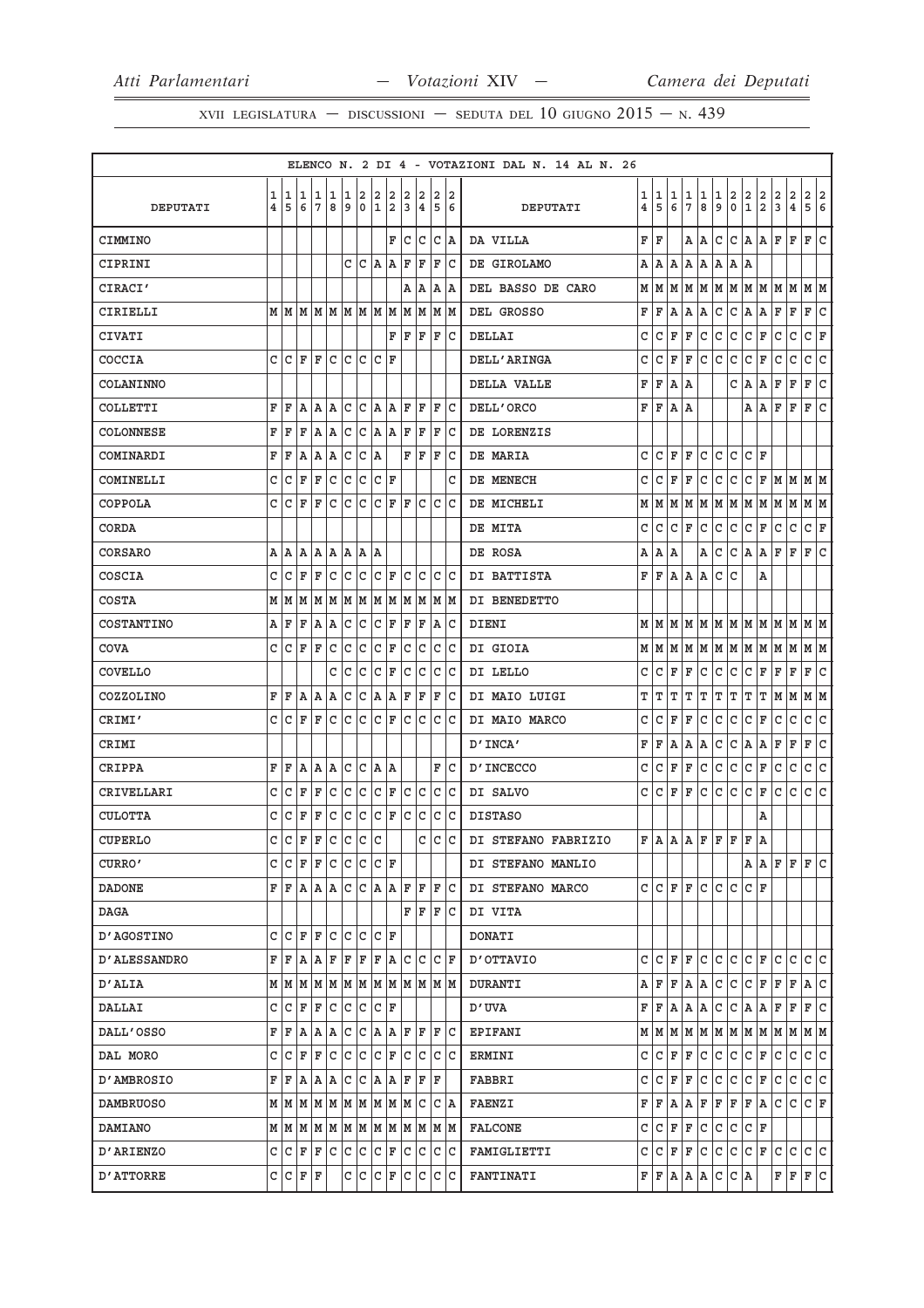XVII LEGISLATURA — DISCUSSIONI — SEDUTA DEL 10 GIUGNO  $2015 - N.439$ 

|                     |                |                                                                             |     |                        |               |               |     |                    |           |   |                               |   |               | ELENCO N. 2 DI 4 - VOTAZIONI DAL N. 14 AL N. 26 |   |         |     |                 |             |              |                |                                                              |         |     |                         |                                                                             |     |
|---------------------|----------------|-----------------------------------------------------------------------------|-----|------------------------|---------------|---------------|-----|--------------------|-----------|---|-------------------------------|---|---------------|-------------------------------------------------|---|---------|-----|-----------------|-------------|--------------|----------------|--------------------------------------------------------------|---------|-----|-------------------------|-----------------------------------------------------------------------------|-----|
|                     | 1              |                                                                             | 11  | 1  1                   |               | 12            |     | 2                  | 2         | 2 | 2                             |   | 22            |                                                 |   | 1 1     | 1   | 1               | 1           | 1            | $\overline{a}$ |                                                              | 2       | 2   | $\overline{2}$          | 2 2                                                                         |     |
| DEPUTATI            | $\overline{4}$ | 5                                                                           | 6   | 7                      | 8             | 9             | 0   | 1                  | 2         | 3 | 4                             |   | 56            | DEPUTATI                                        | 4 | 5       | 6   | $7\phantom{.0}$ | 8           | 9            | $\mathbf 0$    | $\left  \begin{smallmatrix} 2 \ 1 \end{smallmatrix} \right.$ | 2       | 3   | $\overline{\mathbf{4}}$ | 5                                                                           | 6   |
| CIMMINO             |                |                                                                             |     |                        |               |               |     |                    |           |   | F C C C A                     |   |               | DA VILLA                                        | F | ΙF      |     |                 | A A         | C            |                |                                                              | C A A F |     | lF.                     | F                                                                           | c   |
| CIPRINI             |                |                                                                             |     |                        |               |               |     |                    | C C A A F |   | F                             |   | F C           | DE GIROLAMO                                     | Α | Α       | A   | Α               | Α           | Α            | A              | ١A                                                           |         |     |                         |                                                                             |     |
| CIRACI'             |                |                                                                             |     |                        |               |               |     |                    |           |   | A   A   A   A                 |   |               | DEL BASSO DE CARO                               |   |         |     |                 |             |              |                |                                                              |         |     |                         |                                                                             |     |
| CIRIELLI            |                | $M$   $M$   $M$   $M$   $M$   $M$   $M$   $M$   $M$   $M$   $M$   $M$   $M$ |     |                        |               |               |     |                    |           |   |                               |   |               | DEL GROSSO                                      | F | F       | A   | Α               | Α           | C            | l C            | A                                                            | A       | F   | $\mathbf F$             | F                                                                           | c   |
| <b>CIVATI</b>       |                |                                                                             |     |                        |               |               |     |                    |           |   | F F F F C                     |   |               | DELLAI                                          | C | C       | F   | F               | С           | C            | lc.            | c                                                            | F       | C   | lc.                     | $ c $ F                                                                     |     |
| COCCIA              |                | $C C F F C C C C F$                                                         |     |                        |               |               |     |                    |           |   |                               |   |               | DELL'ARINGA                                     | С | C       | F   | F               | C           | lc.          | c              | c                                                            | F       | lc  | $\mathtt{C}$            | c.                                                                          | c   |
| COLANINNO           |                |                                                                             |     |                        |               |               |     |                    |           |   |                               |   |               | DELLA VALLE                                     | F | F       | A   | ΙA              |             |              | C              | lA.                                                          | A       | F   | F                       | F                                                                           | c   |
| COLLETTI            | F              | ΙF                                                                          | A   | A   A                  |               |               |     |                    |           |   | C C A A F F                   |   | F C           | DELL'ORCO                                       | F | F       | A   | ١A              |             |              |                | A   A                                                        |         | F   | F                       | F                                                                           | c   |
| COLONNESE           | F              | ΙF                                                                          | ΙF  |                        |               |               |     |                    |           |   | A A C C A A F F               | F | $ {\bf c}$    | DE LORENZIS                                     |   |         |     |                 |             |              |                |                                                              |         |     |                         |                                                                             |     |
| COMINARDI           | F              | ΙF                                                                          | A   | A A                    |               | lc.           | C A |                    |           |   | F F F                         |   | Iс            | DE MARIA                                        | C | C       | F   | ΙF              | C           | C            | C              | C                                                            | ΙF      |     |                         |                                                                             |     |
| COMINELLI           |                | CCFF                                                                        |     |                        | $ c c c c _F$ |               |     |                    |           |   |                               |   | C             | DE MENECH                                       | C | C       | F   | F               | С           | C            | l C            | c                                                            |         |     |                         | $F$ M M M M                                                                 |     |
| COPPOLA             |                | C C F                                                                       |     | l F                    |               |               |     |                    |           |   | c c c c F F c c c             |   |               | DE MICHELI                                      |   | M   M   | M   | M               |             |              |                |                                                              |         |     |                         | M M M M M M M M M                                                           |     |
| CORDA               |                |                                                                             |     |                        |               |               |     |                    |           |   |                               |   |               | DE MITA                                         | C | C       | l C | F               | l C         | c            | c              | c                                                            | F       | c   | c                       | $ c _{\mathbf{F}}$                                                          |     |
| CORSARO             |                | A   A   A   A   A   A   A                                                   |     |                        |               |               |     |                    |           |   |                               |   |               | DE ROSA                                         | Α | A       | A   |                 | Α           | C            | C              | A                                                            | A       | F   | $\mathbf F$             | F                                                                           | c   |
| COSCIA              |                | C C F                                                                       |     |                        |               |               |     |                    |           |   | F c c c F c c c c c c         |   |               | DI BATTISTA                                     | F | F       |     | A   A           | A           | lc.          | lc.            |                                                              | Α       |     |                         |                                                                             |     |
| <b>COSTA</b>        |                | $M$   $M$   $M$   $M$   $M$   $M$   $M$   $M$   $M$   $M$   $M$   $M$   $M$ |     |                        |               |               |     |                    |           |   |                               |   |               | DI BENEDETTO                                    |   |         |     |                 |             |              |                |                                                              |         |     |                         |                                                                             |     |
| COSTANTINO          |                | AF                                                                          | F   | A  A                   |               | c c           |     | C F                |           |   | F F                           |   | A C           | DIENI                                           |   |         |     |                 |             |              |                |                                                              |         |     |                         | $M$   $M$   $M$   $M$   $M$   $M$   $M$   $M$   $M$   $M$   $M$   $M$   $M$ |     |
| COVA                |                | CCFF                                                                        |     |                        | C C C F       |               |     |                    |           |   | c c c c                       |   |               | DI GIOIA                                        |   |         |     |                 |             |              |                |                                                              |         |     |                         | $M \mid M \mid M \mid M \mid M \mid M \mid M \mid M \mid M \mid M \mid M$   |     |
| COVELLO             |                |                                                                             |     |                        |               | c Ic          | ١c  | $ C $ F            |           |   | c c                           |   | c c           | DI LELLO                                        | c | C       | F   | F               | C           | C            | С              | l c                                                          | F       | F   | F                       | F                                                                           | lc. |
| COZZOLINO           |                | F F A A A C C A A F F F C                                                   |     |                        |               |               |     |                    |           |   |                               |   |               | DI MAIO LUIGI                                   | Т | т       | т   | т               | т           | т            | Г              | IΤ                                                           | IΤ      |     |                         | M M M M                                                                     |     |
| CRIMI'              | C              | C                                                                           | ΙF  | l F                    | lc.           | $ c c c _F$   |     |                    |           |   | c c c c                       |   |               | DI MAIO MARCO                                   | C | C       | F   | F               | С           | $\mathtt{C}$ | $\mathtt{C}$   | c                                                            | F       | C   | C                       | c                                                                           | c   |
| CRIMI               |                |                                                                             |     |                        |               |               |     |                    |           |   |                               |   |               | D'INCA'                                         | F | F       | A   | Α               | Α           | $\mathtt{C}$ | c              | A,                                                           | A       | F   | F                       | F                                                                           | c   |
| CRIPPA              | F              | ΙF                                                                          | lA. | A  A                   |               | c c           |     | A  A               |           |   |                               |   | F C           | D'INCECCO                                       | C | C       | F   | F               | c           | l c          | c              | c                                                            | F       | l c | $\mathsf{C}$            | lc.                                                                         | c   |
| CRIVELLARI          | c              | lC.                                                                         | ΙF  | ΙF                     | lc.           | lc.           | c   | $ C $ $\mathbf{F}$ |           |   | c c                           |   | c c           | DI SALVO                                        | c | C       | F   | F               | C           | C            | C              | lc.                                                          | F       | C   | l C                     | C                                                                           | lc. |
| <b>CULOTTA</b>      | c              | C F                                                                         |     | ΙF                     |               | $ c c c c _F$ |     |                    |           |   | c c c c                       |   |               | <b>DISTASO</b>                                  |   |         |     |                 |             |              |                |                                                              | А       |     |                         |                                                                             |     |
| <b>CUPERLO</b>      |                | C C F F                                                                     |     |                        | c c c c       |               |     |                    |           |   |                               |   | $ c\> c\> c $ | DI STEFANO FABRIZIO                             |   | F A     |     |                 | $A$ $R$ $F$ | lF.          | l F            | ΙF                                                           | ١A      |     |                         |                                                                             |     |
| CURRO'              | С              | C                                                                           |     | F F C                  |               | c c           |     | $ C $ $\mathbf{F}$ |           |   |                               |   |               | DI STEFANO MANLIO                               |   |         |     |                 |             |              |                |                                                              | AAF     |     | F                       | F                                                                           | c   |
| <b>DADONE</b>       | F              | ΙF                                                                          |     |                        |               |               |     |                    |           |   | A   A   C   C   A   A   F   F |   | F  C          | DI STEFANO MARCO                                | c | C       | F   | F               | c           | C            | C              | C                                                            | ΙF      |     |                         |                                                                             |     |
| DAGA                |                |                                                                             |     |                        |               |               |     |                    |           |   | FF                            |   | F C           | DI VITA                                         |   |         |     |                 |             |              |                |                                                              |         |     |                         |                                                                             |     |
| <b>D'AGOSTINO</b>   | c              |                                                                             |     | C  F  F  C  C  C  C  F |               |               |     |                    |           |   |                               |   |               | DONATI                                          |   |         |     |                 |             |              |                |                                                              |         |     |                         |                                                                             |     |
| <b>D'ALESSANDRO</b> | F              | ΙF                                                                          | l A | l A                    | F             | ΙF            | F   | F A                |           |   | IC IC IC IF                   |   |               | OTTAVIO                                         | C | C       | F   | F               | С           | C            | C              | l C                                                          | F       | C   | C                       | C                                                                           | lc. |
| D'ALIA              |                | $M$   $M$   $M$   $M$   $M$   $M$   $M$   $M$   $M$   $M$   $M$   $M$   $M$ |     |                        |               |               |     |                    |           |   |                               |   |               | <b>DURANTI</b>                                  | Α | F       | F   | A               | A           | l c          | c              | c                                                            | F       | ΙF  | $\mathbf F$             | A C                                                                         |     |
| DALLAI              | C              | lc.                                                                         | lF. | F                      | l C           | IC.           |     | C C F              |           |   |                               |   |               | D'UVA                                           | F | F       | Α   | Α               | Α           | C            | C              | lA.                                                          | A       | F   | F                       | F                                                                           | С   |
| DALL'OSSO           | F              | F A                                                                         |     |                        |               |               |     |                    |           |   | A A C C A A F F F C           |   |               | <b>EPIFANI</b>                                  |   |         |     | M M M M         |             |              |                |                                                              |         |     |                         | M M M M M M M M M                                                           |     |
| DAL MORO            | C              | lс                                                                          | ΙF  | ΙF                     | lc            | c c           |     | C F                |           |   | C C C C                       |   |               | ERMINI                                          | C | C       | F   | F               | C           | C            | c              | c                                                            | F       | c   | C                       | c.                                                                          | c   |
| <b>D'AMBROSIO</b>   | F              | ΙF                                                                          | ١A  | lA.                    | ١A            | lC.           | lC. | A  A               |           |   | F  F  F                       |   |               | FABBRI                                          | C | C       | F   | F               | С           | C            | C              | C                                                            | F       | C   | C                       | lc.                                                                         | c   |
| <b>DAMBRUOSO</b>    |                | $M$   $M$   $M$   $M$   $M$   $M$   $M$   $M$   $M$   $C$   $C$   $A$       |     |                        |               |               |     |                    |           |   |                               |   |               | <b>FAENZI</b>                                   | F | F       |     | A A             | F           | F            |                |                                                              | F F A C |     | Iс                      | $ C $ F                                                                     |     |
| <b>DAMIANO</b>      |                | $M$   $M$   $M$   $M$   $M$   $M$   $M$   $M$   $M$   $M$   $M$   $M$   $M$ |     |                        |               |               |     |                    |           |   |                               |   |               | <b>FALCONE</b>                                  | C | C       | F   | F               | с           | с            | C              | l C                                                          | ΙF      |     |                         |                                                                             |     |
| <b>D'ARIENZO</b>    |                | C C F F C C C C F C C C C                                                   |     |                        |               |               |     |                    |           |   |                               |   |               | FAMIGLIETTI                                     | C | $ C $ F |     | F               | C           | c            | c              | c                                                            | F       | lc. | lc.                     | c c                                                                         |     |
| D'ATTORRE           |                | C C                                                                         | F F |                        |               | С             | ∣c. | $ C $ F            |           |   | C C C C                       |   |               | <b>FANTINATI</b>                                | F | F       | A   | Α               | Α           | с            | C              | ΙA                                                           |         | F   | F                       | F C                                                                         |     |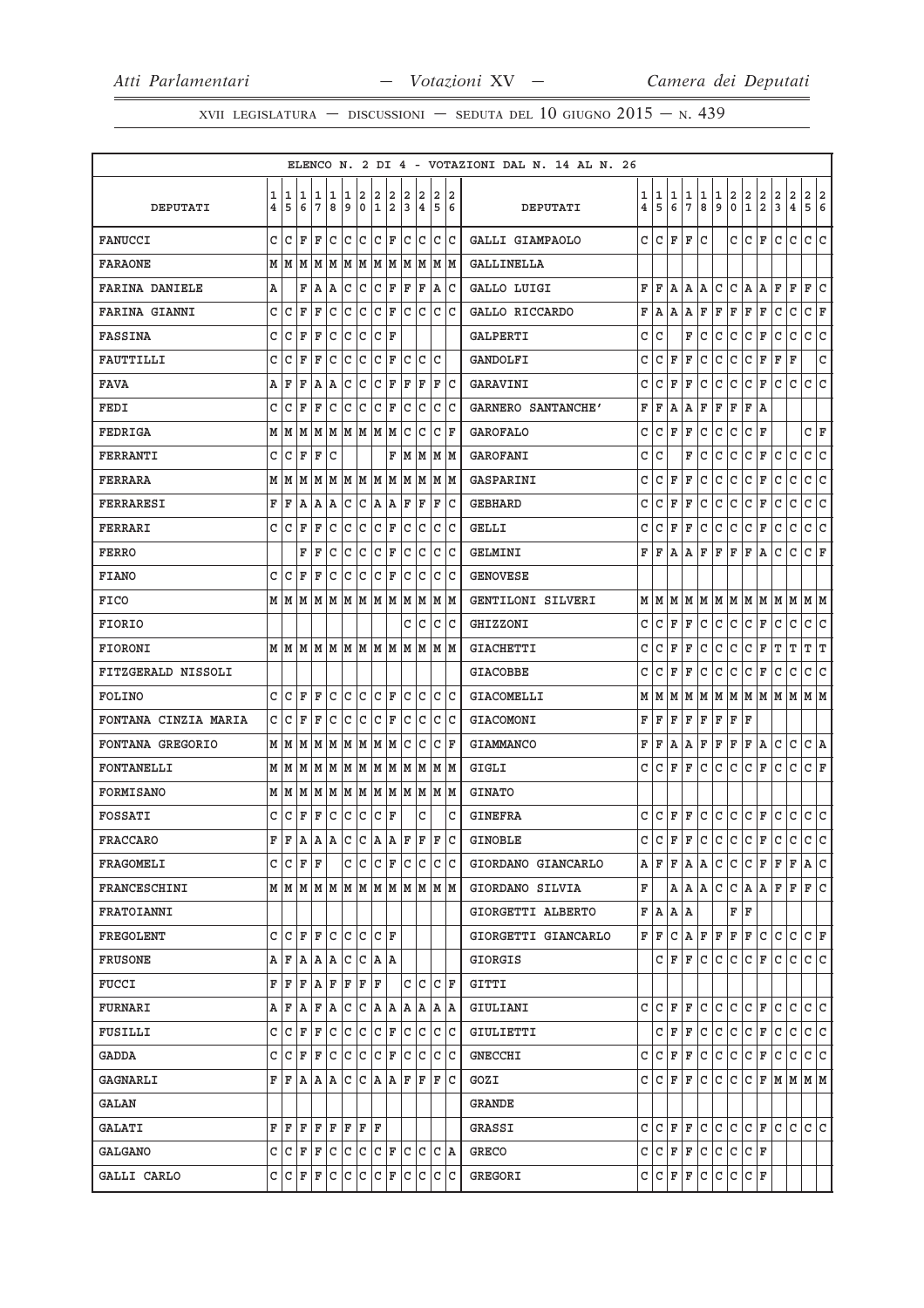XVII LEGISLATURA — DISCUSSIONI — SEDUTA DEL 10 GIUGNO  $2015$  – N. 439

|                      |        |           |             |                              |             |        |                  |                   |                                       |              |        |        |         | ELENCO N. 2 DI 4 - VOTAZIONI DAL N. 14 AL N. 26 |        |        |        |                         |         |              |                        |                                                              |                     |               |               |                    |                |
|----------------------|--------|-----------|-------------|------------------------------|-------------|--------|------------------|-------------------|---------------------------------------|--------------|--------|--------|---------|-------------------------------------------------|--------|--------|--------|-------------------------|---------|--------------|------------------------|--------------------------------------------------------------|---------------------|---------------|---------------|--------------------|----------------|
| DEPUTATI             | 1<br>4 | 1<br>5    | 11<br>6     | 1<br>$7\phantom{.0}$         | 1<br>8      | 1<br>9 | 2<br>$\mathbf 0$ | 2<br>$\mathbf{1}$ | 2<br>2                                | 2<br>3       | 2<br>4 | 2<br>5 | 12<br>6 | DEPUTATI                                        | 1<br>4 | 1<br>5 | 1<br>6 | 1<br>$\overline{7}$     | 1<br>8  | 1<br>9       | 2<br>$\mathbf 0$       | $\left  \begin{smallmatrix} 2 \ 1 \end{smallmatrix} \right.$ | $\frac{2}{2}$       | $\frac{2}{3}$ | $\frac{2}{4}$ | 2<br>5             | $\frac{2}{6}$  |
| <b>FANUCCI</b>       | C      | C         | ΙF          | F                            | l C         | lc.    | lc               | $ {\tt C}\, $ F   |                                       | lc.          | lc.    |        | c  c    | GALLI GIAMPAOLO                                 | c      | С      | F      | F                       | C       |              | C                      | C                                                            | F                   | C             | $\mathtt{C}$  | lc.                | lc.            |
| <b>FARAONE</b>       | M      | M         | M           | M                            | M           | M      | lм               |                   | M M                                   |              | MM     |        | M  M    | GALLINELLA                                      |        |        |        |                         |         |              |                        |                                                              |                     |               |               |                    |                |
| FARINA DANIELE       | Α      |           | F           | A                            | ١A          | C      | C                | C                 | F                                     | F            | F      |        | A  C    | GALLO LUIGI                                     | F      | F      | Α      | Α                       | Α       | C            | lc.                    | A                                                            | Α                   | F             | $\mathbf F$   | F                  | C              |
| <b>FARINA GIANNI</b> | C      | C         | F           | F                            | C           | C      | C                | C                 | F                                     | lc.          | lc.    |        | c c     | GALLO RICCARDO                                  | F      | Α      | Α      | Α                       | F       | F            | F                      | F                                                            | F                   | C             | $\mathtt{C}$  | C                  | F              |
| <b>FASSINA</b>       | C      | C         | F           | F                            | C           | c      | C                | C                 | ΙF                                    |              |        |        |         | <b>GALPERTI</b>                                 | C      | C      |        | $\mathbf F$             | C       | C            | C                      | C                                                            | F                   | C             | C             | C                  | c              |
| FAUTTILLI            | C      | C         | F           | ΙF                           | C           | lc.    | lc.              | $ c _F$           |                                       | C            |        | lc Ic  |         | GANDOLFI                                        | C      | С      | F      | F                       | С       | C            | l C                    | c                                                            | F                   | F             | F             |                    | $\mathtt{C}$   |
| <b>FAVA</b>          | Α      | F         | F           | A                            | Α           | С      | C                | C                 | F                                     | ΙF           | ΙF     | F      | ١c      | GARAVINI                                        | C      | С      | F      | F                       | С       | C            | C                      | C                                                            | F                   | C             | С             | C                  | C              |
| FEDI                 | C      | C         | F           | ΙF                           | C           | C      | C                | C                 | F                                     | C            | lc     |        | C C     | GARNERO SANTANCHE'                              | F      | F      | Α      | Α                       | F       | F            | F                      | F                                                            | A                   |               |               |                    |                |
| FEDRIGA              | М      | M         | M           | M                            | M           |        | MMMM             |                   |                                       | C            | c      | C      | ١F      | <b>GAROFALO</b>                                 | C      | C      | F      | F                       | C       | C            | lc.                    | l c                                                          | F                   |               |               | C                  | F              |
| FERRANTI             | C      | С         | F           | ΙF                           | C           |        |                  |                   | F                                     |              | M M    |        | M M     | GAROFANI                                        | C      | C      |        | $\overline{\mathbf{F}}$ | C       | $\mathsf{C}$ | C                      | lc                                                           | F                   | C             | C             | $\mathtt{C}$       | $\overline{c}$ |
| <b>FERRARA</b>       | М      | lм        | M           |                              |             |        |                  |                   | M M M M M M                           |              | MMMM   |        |         | GASPARINI                                       | C      | C      | ΙF     | F                       | С       | C            | C                      | C                                                            | F                   | C             | C             | С                  | c              |
| FERRARESI            | F      | F         | A           | ١A                           | A           | С      | С                | lA.               | lA.                                   | ΙF           | ΙF     | F      | ΙC      | <b>GEBHARD</b>                                  | C      | C      | F      | F                       | С       | C            | C                      | C                                                            | F                   | C             | C             | C                  | c              |
| FERRARI              |        | CCF       |             | ΙF                           | C           | c c    |                  | $ C $ F           |                                       |              | C C    |        | C C     | GELLI                                           | С      | С      | F      | F                       | C       | l C          | c                      | lc.                                                          | F                   | l C           | $\mathtt{C}$  | C                  | c              |
| <b>FERRO</b>         |        |           | F           | ΙF                           | C           | C      | C                | C                 | F                                     | C            | C      | С      | ١c      | GELMINI                                         | F      | F      | Α      | Α                       | F       | F            | F                      | F                                                            | А                   | С             | С             | С                  | F              |
| <b>FIANO</b>         | C      | C         | ΙF          | ΙF                           | С           | C      | C                |                   | C F                                   | $\mathtt{C}$ | lc     |        | C C     | <b>GENOVESE</b>                                 |        |        |        |                         |         |              |                        |                                                              |                     |               |               |                    |                |
| FICO                 |        | M   M   M |             | M M M M M M                  |             |        |                  |                   |                                       |              | M M    |        | MM      | GENTILONI SILVERI                               | M      | lм     | M      | M                       |         |              | MMMMM                  |                                                              |                     | lм            | lм            | M M                |                |
| <b>FIORIO</b>        |        |           |             |                              |             |        |                  |                   |                                       | С            | IС     |        | c c     | GHIZZONI                                        | C      | C      | F      | F                       | C       | C            | lc.                    | l c                                                          | F                   | C             | C             | $\mathtt{C}$       | c              |
| <b>FIORONI</b>       |        |           |             |                              |             |        |                  |                   |                                       |              |        |        |         | <b>GIACHETTI</b>                                | C      | C      | F      | F                       | С       | C            | C                      | c                                                            | F                   | Г             | т             | т                  | İΤ             |
| FITZGERALD NISSOLI   |        |           |             |                              |             |        |                  |                   |                                       |              |        |        |         | <b>GIACOBBE</b>                                 | C      | C      | F      | F                       | C       | C            | C                      | C                                                            | F                   | C             | С             | C                  | C              |
| FOLINO               |        | c Ic      | l F         | F                            | C           |        | c c              | $ C $ F           |                                       |              | lc Ic  |        | lc Ic   | GIACOMELLI                                      | М      | M      | M      | M                       | M       | M            |                        |                                                              | $M$ $M$ $M$ $M$ $M$ |               |               | MM                 |                |
| FONTANA CINZIA MARIA | C      | C         | F           | ΙF                           | C           | C      | C                | C                 | F                                     | C            | C      | С      | ∣c      | GIACOMONI                                       | F      | F      | F      | F                       | F       | F            | F                      | ΙF                                                           |                     |               |               |                    |                |
| FONTANA GREGORIO     | М      | M         | M           | M                            | lм          |        | MM               |                   | M M                                   | С            | lc     |        | C F     | <b>GIAMMANCO</b>                                | F      | F      | Α      | Α                       | F       | F            | F                      | F                                                            | A                   | l C           | $\mathtt{C}$  | C A                |                |
| FONTANELLI           | М      | M         | lм          | MM                           |             |        | MM               |                   | MM                                    |              | MM     |        | M M     | GIGLI                                           | C      | C      | F      | F                       | lc.     | $\mathtt{C}$ | c                      | c                                                            | F                   | lc.           | $\mathtt{C}$  | $ c _{\mathbf{F}}$ |                |
| FORMISANO            |        | M   M     | M           | M  M  M  M  M  M  M  M  M  M |             |        |                  |                   |                                       |              |        |        |         | <b>GINATO</b>                                   |        |        |        |                         |         |              |                        |                                                              |                     |               |               |                    |                |
| FOSSATI              | С      | C         | F           | F                            | С           | lc.    | c                | C F               |                                       |              | C      |        | С       | <b>GINEFRA</b>                                  | c      | C      | F      | F                       | c.      | l C          | c                      | c                                                            | F                   | C             | c             | c c                |                |
| <b>FRACCARO</b>      | F      | ΙF        | A           | A                            |             |        | A C C A A        |                   |                                       | ΙF           | F      | ΙF     | lc      | <b>GINOBLE</b>                                  | C      | lc.    | F      | F                       | lc.     | c            | c                      | c                                                            | F                   | lc.           | lc.           | c c                |                |
| FRAGOMELI            | C      |           | $C$ $F$ $F$ |                              |             |        |                  |                   | C C C F C C C C                       |              |        |        |         | GIORDANO GIANCARLO                              | Α      | lF.    | F      | A                       | A       | С            | lc.                    | С                                                            | F                   | F             | F             | A  C               |                |
| FRANCESCHINI         |        |           |             | MMMMMMMMMMMMMMM              |             |        |                  |                   |                                       |              |        |        |         | GIORDANO SILVIA                                 | F      |        | A      | A                       | l A     | C            | lc.                    | A   A                                                        |                     | lF.           | F             | F                  | c              |
| FRATOIANNI           |        |           |             |                              |             |        |                  |                   |                                       |              |        |        |         | GIORGETTI ALBERTO                               | F      | A      | A  A   |                         |         |              | ${\tt F} \mid {\tt F}$ |                                                              |                     |               |               |                    |                |
| FREGOLENT            | C      | C         | ΙF          | F                            | lc.         | lc Ic  |                  | C  F              |                                       |              |        |        |         | GIORGETTI GIANCARLO                             | F      | lF.    |        |                         | C A F F |              | F F                    |                                                              | lc.                 | lc.           | $\mathtt{C}$  | $ c _{\mathbb{F}}$ |                |
| <b>FRUSONE</b>       | А      | F         | ١A          | ١A                           | A           | lc     | lc.              | IA IA             |                                       |              |        |        |         | GIORGIS                                         |        | c      | lF.    | lF.                     | C       | C            | lc.                    | С                                                            | lF.                 | C             | C             | c c                |                |
| <b>FUCCI</b>         | F      | F         | F           | ΙA                           | F           | ΙF     | F  F             |                   |                                       |              | CCCF   |        |         | GITTI                                           |        |        |        |                         |         |              |                        |                                                              |                     |               |               |                    |                |
| <b>FURNARI</b>       | А      | F         | ۱A          | F                            | ΙA          |        | C  C  A  A       |                   |                                       |              | A  A   |        | A  A    | GIULIANI                                        | c      | C      | F      | F                       | C       | C            | C                      | С                                                            | F                   | C             | C             | C                  | lC.            |
| FUSILLI              | c      |           | $ C $ F     | ΙF                           | $ {\bf c} $ |        | c c              |                   | $ C $ $\mathbf{F}$ $ C $ $\mathbf{C}$ |              |        |        | C C     | GIULIETTI                                       |        | c      | F      | F                       |         | c c          | C C F                  |                                                              |                     | lc.           | c             | c c                |                |
| GADDA                | C      | С         | ΙF          | F                            | С           | lc     | c                | lc.               | F                                     | IС           | lC.    |        | c c     | <b>GNECCHI</b>                                  | C      | С      | F      | F                       | C       | C            | lc.                    | lc.                                                          | F                   | lc.           | C             | c c                |                |
| <b>GAGNARLI</b>      | F      |           |             | F A A C C A A F F            |             |        |                  |                   |                                       |              |        |        | F  C    | GOZI                                            | c      | C      | lF.    | lF.                     | lc.     | lc.          | lc.                    | lc.                                                          |                     |               | F M M M M     |                    |                |
| GALAN                |        |           |             |                              |             |        |                  |                   |                                       |              |        |        |         | GRANDE                                          |        |        |        |                         |         |              |                        |                                                              |                     |               |               |                    |                |
| GALATI               | F      | ΙF        | ΙF          | F F                          |             |        | $F$ $F$ $F$      |                   |                                       |              |        |        |         | GRASSI                                          | C      | C      | F      | lF.                     | C       | C            | lc.                    | IC IF                                                        |                     | lc.           | C             | lc Ic              |                |
| GALGANO              |        |           |             | $C C F F C C C C F C C C A$  |             |        |                  |                   |                                       |              |        |        |         | GRECO                                           | C      | C F F  |        |                         | C       | c            | lc.                    | C F                                                          |                     |               |               |                    |                |
| GALLI CARLO          |        | C C       | F           | F                            | с           | C      | C C F            |                   |                                       |              | C C    |        | C C     | GREGORI                                         | с      | C      | F      | F                       | c       | C            | c                      | $ C $ F                                                      |                     |               |               |                    |                |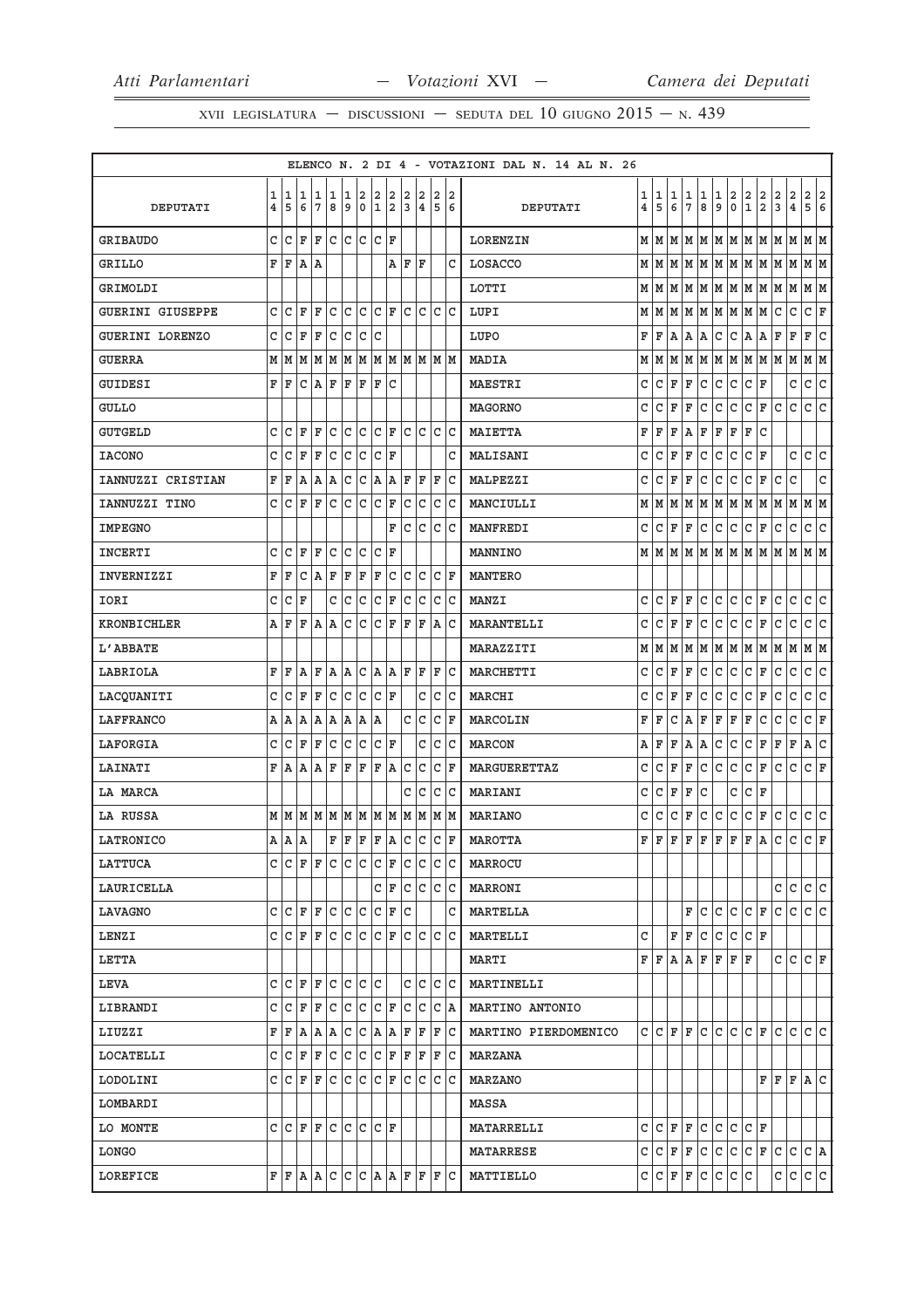XVII LEGISLATURA — DISCUSSIONI — SEDUTA DEL 10 GIUGNO  $2015$  – N. 439

|                         |                         |           |                   |                                                                                                                                   |               |        |              |                    |                   |               |                 |               |                         | ELENCO N. 2 DI 4 - VOTAZIONI DAL N. 14 AL N. 26 |                         |              |                 |                         |              |              |               |                                                              |               |               |              |                                                     |                         |
|-------------------------|-------------------------|-----------|-------------------|-----------------------------------------------------------------------------------------------------------------------------------|---------------|--------|--------------|--------------------|-------------------|---------------|-----------------|---------------|-------------------------|-------------------------------------------------|-------------------------|--------------|-----------------|-------------------------|--------------|--------------|---------------|--------------------------------------------------------------|---------------|---------------|--------------|-----------------------------------------------------|-------------------------|
|                         | 1                       | 1<br>5    | $\mathbf{1}$<br>6 | 1<br>$\overline{7}$                                                                                                               | $\frac{1}{8}$ | 1<br>9 | $\Big _0^2$  | $\frac{2}{1}$      | $\frac{2}{2}$     | $\frac{2}{3}$ | $\frac{2}{4}$   | $\frac{2}{5}$ | 2<br>6                  |                                                 | 1                       | 1<br>5       | 1<br>$\epsilon$ | 1<br>$\overline{7}$     | 1<br>8       | 1<br>9       | $\frac{2}{0}$ | $\left  \begin{smallmatrix} 2 \ 1 \end{smallmatrix} \right $ | $\frac{2}{2}$ | $\frac{2}{3}$ | $_4^2$       | $\begin{array}{ c c }\n2 & 2 \\ 5 & 6\n\end{array}$ |                         |
| <b>DEPUTATI</b>         | $\overline{\mathbf{4}}$ |           |                   |                                                                                                                                   |               |        |              |                    |                   |               |                 |               |                         | DEPUTATI                                        | $\overline{\mathbf{4}}$ |              |                 |                         |              |              |               |                                                              |               |               |              |                                                     |                         |
| <b>GRIBAUDO</b>         | C                       | C         | F                 | F C                                                                                                                               |               | c c    |              | $ c _{\mathbf{F}}$ |                   |               |                 |               |                         | <b>LORENZIN</b>                                 |                         | мIм          |                 |                         |              |              |               |                                                              |               |               |              |                                                     |                         |
| <b>GRILLO</b>           | F                       | F         | A  A              |                                                                                                                                   |               |        |              |                    | A                 | l F           | l F             |               | C                       | LOSACCO                                         | M                       | M            | M               | M                       | M            |              |               | $ M M $ M $ M$                                               |               |               | lм           | MM                                                  |                         |
| GRIMOLDI                |                         |           |                   |                                                                                                                                   |               |        |              |                    |                   |               |                 |               |                         | LOTTI                                           |                         | мIм          | M               | M                       | MM           |              | MM            |                                                              | M             | M             | M            | MM                                                  |                         |
| <b>GUERINI GIUSEPPE</b> | C                       | C         | ΙF                | F                                                                                                                                 | C             | lc.    | c            | $ c _{\mathbf{F}}$ |                   |               | c c             |               | c c                     | LUPI                                            | М                       | M            |                 | MM                      |              |              |               | M M M M                                                      |               | c             | $\mathtt{C}$ | $ c _{\mathbf{F}}$                                  |                         |
| GUERINI LORENZO         | C                       | C         | $\mathbf F$       | F                                                                                                                                 | C             | c      | c            | lc                 |                   |               |                 |               |                         | LUPO                                            | F                       | F            | A               | $\, {\bf A}$            | Α            | C            | c             | A.                                                           | Α             | F             | F            | F                                                   | c                       |
| <b>GUERRA</b>           |                         |           | M M M             | $\mathbf{M}$ $\mathbf{M}$ $\mathbf{M}$ $\mathbf{M}$ $\mathbf{M}$ $\mathbf{M}$ $\mathbf{M}$ $\mathbf{M}$ $\mathbf{M}$ $\mathbf{M}$ |               |        |              |                    |                   |               |                 |               |                         | MADIA                                           | М                       | M            | M               | M                       | MM           |              |               | M M M                                                        |               |               | M            | MM                                                  |                         |
| <b>GUIDESI</b>          | F                       | F         | С                 | A                                                                                                                                 | F             | F      | F            | F                  | lc.               |               |                 |               |                         | MAESTRI                                         | C                       | c            | F               | F                       | C            | $\mathtt{C}$ | c             | c                                                            | F             |               | С            | c.                                                  | c                       |
| <b>GULLO</b>            |                         |           |                   |                                                                                                                                   |               |        |              |                    |                   |               |                 |               |                         | MAGORNO                                         | C                       | $\mathtt{C}$ | F               | F                       | c.           | $\mathtt{C}$ | c             | c                                                            | F             | lc.           | $\mathtt{C}$ | c                                                   | c                       |
| <b>GUTGELD</b>          | C                       | C         | F                 | F                                                                                                                                 | C             | C      | lc           | c                  | ΙF                | C             | lc              |               | lc lc                   | <b>MAIETTA</b>                                  | F                       | F            | F               | A                       | F            | F            | F             | F                                                            | $\mathtt{C}$  |               |              |                                                     |                         |
| <b>IACONO</b>           | C                       | C         | ΙF                | F                                                                                                                                 | C             | C      | C            | $\mathtt{C}$       | ΙF                |               |                 |               | C                       | MALISANI                                        | C                       | $\mathtt{C}$ | F               | $\overline{\mathbf{F}}$ | $\mathtt{C}$ | $\mathtt{C}$ | c             | c                                                            | F             |               | C            | c.                                                  | $\overline{\mathsf{C}}$ |
| IANNUZZI CRISTIAN       | F                       | F         | A                 | A                                                                                                                                 | lA.           | c      | c            | A A                |                   |               | F   F           | F             | Iс                      | MALPEZZI                                        | C                       | C            | F               | F                       | lc.          | $\mathtt{C}$ | c             | c                                                            | F             | lc.           | $\mathtt{C}$ |                                                     | $\mathtt{C}$            |
| IANNUZZI TINO           | C                       | C         | F                 | F                                                                                                                                 | C             | lc     | С            | c                  | F                 | C             | l C             |               | c c                     | MANCIULLI                                       | М                       | M            | M               | M                       | M            | M            | M             | M                                                            | M             | M             | М            | M M                                                 |                         |
| <b>IMPEGNO</b>          |                         |           |                   |                                                                                                                                   |               |        |              |                    | F                 |               | lc lc           |               | c c                     | MANFREDI                                        | C                       | lc.          | F               | F                       | c.           | c            | c             | c                                                            | F             | c             | $\mathtt{C}$ | c                                                   | c                       |
| <b>INCERTI</b>          | C                       | C         | F                 | F                                                                                                                                 | C             | C      | C            | C                  | ΙF                |               |                 |               |                         | MANNINO                                         |                         | MM           |                 | MM                      |              |              | M M M M       |                                                              | MM            |               | М            | M M                                                 |                         |
| INVERNIZZI              | F                       | F         | C                 | $A$ F                                                                                                                             |               | F      | F            | F                  | c                 |               | c c             |               | $ c _{\mathbf{F}}$      | <b>MANTERO</b>                                  |                         |              |                 |                         |              |              |               |                                                              |               |               |              |                                                     |                         |
| IORI                    | C                       | C         | ΙF                |                                                                                                                                   | C             | c      | $\mathtt{C}$ | $\mathtt{C}$       | F                 | c             | lc              |               | $ {\rm c}\, {\rm c}\, $ | <b>MANZI</b>                                    | C                       | C            | F               | F                       | $\mathtt{C}$ | $\mathtt{C}$ | c             | c                                                            | F             | lc.           | $\mathtt{C}$ | $\mathtt{C}$                                        | c                       |
| KRONBICHLER             | Α                       | F         | F                 | A                                                                                                                                 | A             | C      | C            | C                  | F                 | F             | F               | lA.           | ΙC                      | MARANTELLI                                      | C                       | <b>c</b>     | F               | $\overline{\mathbf{F}}$ | c            | $\mathtt{C}$ | c             | c                                                            | F             | c             | $\mathtt{C}$ | $\mathtt{C}$                                        | c                       |
| L'ABBATE                |                         |           |                   |                                                                                                                                   |               |        |              |                    |                   |               |                 |               |                         | MARAZZITI                                       | М                       | lм           | M               | M                       |              |              |               | M   M   M   M   M   M                                        |               |               |              | MM                                                  |                         |
| LABRIOLA                | F                       | F         | A                 | F                                                                                                                                 | A             | A      | C            |                    | A A               | F             | ΙF              | F             | lc                      | <b>MARCHETTI</b>                                | C                       | c            | F               | $\mathbf F$             | C            | $\mathtt{C}$ | c.            | c                                                            | F             | lc.           | $\mathtt{C}$ | lc.                                                 | c                       |
| LACQUANITI              | C                       | lc.       | ΙF                | F                                                                                                                                 | lc.           |        | c c          | $ C $ F            |                   |               | $\mathtt{C}$    |               | c c                     | MARCHI                                          | С                       | $\mathtt{C}$ | F               | F                       | $\mathtt{C}$ | $\mathtt{C}$ | c             | c                                                            | F             | c             | $\mathtt{C}$ | $\mathtt{C}$                                        | c                       |
| LAFFRANCO               | А                       | ١A        | ١A                | A A                                                                                                                               |               | A      | A            | A                  |                   | C             | lc              | C             | ١F                      | MARCOLIN                                        | F                       | F            | C               | Α                       | F            | F            | F             | F                                                            | C             | lc.           | $\mathtt{C}$ | C                                                   | F                       |
| LAFORGIA                | C                       | C         | F                 | F                                                                                                                                 | c             | c      | c            |                    | C F               |               | C               |               | c c                     | <b>MARCON</b>                                   | Α                       | $\mathbf F$  | F               | A                       | A            | $\mathtt{C}$ | c             | c                                                            | F             | F             | $\mathbf F$  | A                                                   | $\overline{\mathsf{C}}$ |
| <b>LAINATI</b>          | F                       | A         | A                 | A                                                                                                                                 | F             | F      | F            | F                  | A                 | c             | lc              |               | C  F                    | <b>MARGUERETTAZ</b>                             | C                       | C            | F               | $\mathbb F$             | c            | $\mathtt{C}$ | c             | c                                                            | F             | c             | $\mathtt{C}$ | c.                                                  | F                       |
| LA MARCA                |                         |           |                   |                                                                                                                                   |               |        |              |                    |                   | C             | Iс              |               | C C                     | <b>MARIANI</b>                                  | C                       | $\mathtt{C}$ | F               | F                       | lc.          |              | C             | c                                                            | F             |               |              |                                                     |                         |
| LA RUSSA                |                         |           |                   |                                                                                                                                   |               |        |              |                    |                   |               |                 |               |                         | MARIANO                                         | С                       | c            | c               | F                       | c.           | c            | c             | c                                                            | F             | c             | c            | c c                                                 |                         |
| <b>LATRONICO</b>        |                         | A   A   A |                   |                                                                                                                                   |               |        |              |                    | F F F F A C C C F |               |                 |               |                         | MAROTTA                                         | F                       | ΙF           | F               | F                       | F            | F            | F             | F                                                            | A             | c             | c            | $ c _{\mathbb{F}}$                                  |                         |
| LATTUCA                 |                         |           |                   | $C  C  F  F  C  C  C$                                                                                                             |               |        |              | C F                |                   | C             | IС              |               | c c                     | MARROCU                                         |                         |              |                 |                         |              |              |               |                                                              |               |               |              |                                                     |                         |
| LAURICELLA              |                         |           |                   |                                                                                                                                   |               |        |              | C                  | ΙF                | С             | lc              |               | c  c                    | MARRONI                                         |                         |              |                 |                         |              |              |               |                                                              |               | С             | С            | C                                                   | lc.                     |
| LAVAGNO                 | C                       | lc.       | ΙF                | F                                                                                                                                 | lc            | lc.    | c            |                    | C F               | Ιc            |                 |               | C                       | MARTELLA                                        |                         |              |                 | F                       | C            | C            | lc.           | c                                                            | F             | C             | C            | c c                                                 |                         |
| LENZI                   | C                       | lc.       | l F               | F                                                                                                                                 | C             | lc.    | c            | $ c _F$            |                   |               | lc  c  c  c     |               |                         | MARTELLI                                        | C                       |              | F               | F                       | C            | C            | lc.           | $ c $ F                                                      |               |               |              |                                                     |                         |
| <b>LETTA</b>            |                         |           |                   |                                                                                                                                   |               |        |              |                    |                   |               |                 |               |                         | MARTI                                           | FF                      |              | l A             | Α                       | F            | F            | F             | ΙF                                                           |               | c             | C            | IC IF                                               |                         |
| LEVA                    | C                       | l C       | l F               | l F                                                                                                                               | C             |        | lc Ic Ic     |                    |                   |               | c Ic            |               | lc Ic                   | MARTINELLI                                      |                         |              |                 |                         |              |              |               |                                                              |               |               |              |                                                     |                         |
| LIBRANDI                | C                       | C         | ΙF                | F                                                                                                                                 | c             | lc.    | C            | IC IF              |                   |               | C C             |               | $ C $ A                 | MARTINO ANTONIO                                 |                         |              |                 |                         |              |              |               |                                                              |               |               |              |                                                     |                         |
| LIUZZI                  |                         | F F A     |                   | A   A                                                                                                                             |               |        |              |                    | C C A A           |               | $F$ $F$ $F$ $C$ |               |                         | MARTINO PIERDOMENICO                            |                         | C C F F      |                 |                         |              |              |               | lc   c   c   F                                               |               |               | c c c c      |                                                     |                         |
| LOCATELLI               | C                       | C         | F                 | F                                                                                                                                 | С             | c      | C            | c                  | F                 |               | F F             |               | F C                     | MARZANA                                         |                         |              |                 |                         |              |              |               |                                                              |               |               |              |                                                     |                         |
| LODOLINI                | C                       |           | $ C $ F           | ΙF                                                                                                                                | C             | lc.    | lc.          | lc.                | ΙF                | C             | lc              |               | c  c                    | MARZANO                                         |                         |              |                 |                         |              |              |               |                                                              | FF            |               | F A C        |                                                     |                         |
| LOMBARDI                |                         |           |                   |                                                                                                                                   |               |        |              |                    |                   |               |                 |               |                         | MASSA                                           |                         |              |                 |                         |              |              |               |                                                              |               |               |              |                                                     |                         |
| LO MONTE                | c                       |           | IC IF             | lF.                                                                                                                               | lc Ic Ic      |        |              | IC IF              |                   |               |                 |               |                         | MATARRELLI                                      | C                       | C            | F               | l F                     | C            | C            | C             | lc.                                                          | ΙF            |               |              |                                                     |                         |
| LONGO                   |                         |           |                   |                                                                                                                                   |               |        |              |                    |                   |               |                 |               |                         | MATARRESE                                       | C                       | lc.          | F               | F                       | c.           | c            | c             | c                                                            | F             | lc.           | $\mathtt{C}$ | $ c $ A                                             |                         |
| LOREFICE                |                         |           |                   | F F A A C C C A A F F F C                                                                                                         |               |        |              |                    |                   |               |                 |               |                         | MATTIELLO                                       | С                       | C            | F               | F                       | l C          | C            | lc.           | c                                                            |               | С             | $\mathtt{C}$ | c c                                                 |                         |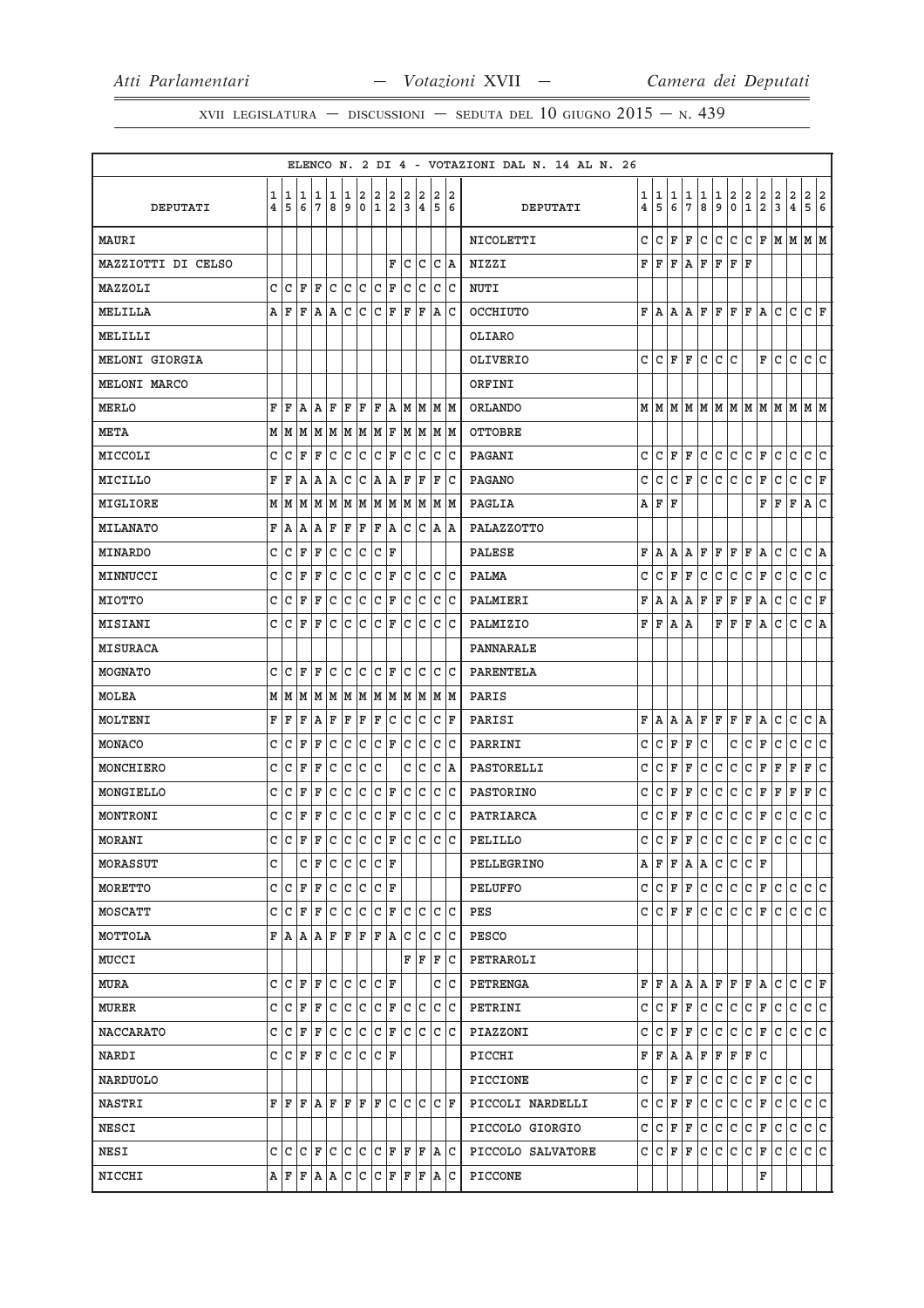XVII LEGISLATURA – DISCUSSIONI – SEDUTA DEL 10 GIUGNO  $2015 - N.439$ 

|                    |        |        |         |        |              |              |             |                  |                           |              |         |     |             | ELENCO N. 2 DI 4 - VOTAZIONI DAL N. 14 AL N. 26 |        |              |             |                     |        |              |                  |                   |                              |        |                                           |                                                                             |
|--------------------|--------|--------|---------|--------|--------------|--------------|-------------|------------------|---------------------------|--------------|---------|-----|-------------|-------------------------------------------------|--------|--------------|-------------|---------------------|--------|--------------|------------------|-------------------|------------------------------|--------|-------------------------------------------|-----------------------------------------------------------------------------|
| DEPUTATI           | 1<br>4 | 1<br>5 | 1<br>6  | 1<br>7 | 1<br>8       | 1<br>9       | 2<br>0      | 2<br>$\mathbf 1$ | 2<br>$\overline{2}$       | 2<br>3       | 2<br>4  | 5   | 2 2<br>6    | DEPUTATI                                        | 1<br>4 | 1<br>5       | 1<br>6      | 1<br>$\overline{7}$ | 1<br>8 | 1<br>9       | 2<br>$\mathbf 0$ | 2<br>$\mathbf{1}$ | 2<br>$\overline{\mathbf{2}}$ | 2<br>3 | $\overline{a}$<br>$\overline{\mathbf{4}}$ | 2<br>2<br>5<br>6                                                            |
|                    |        |        |         |        |              |              |             |                  |                           |              |         |     |             |                                                 |        |              |             |                     |        |              |                  |                   |                              |        |                                           |                                                                             |
| MAURI              |        |        |         |        |              |              |             |                  |                           |              |         |     |             | NICOLETTI                                       | C      | C            | F           | F                   | C      | C            | lc.              | С                 | F                            |        |                                           | $ M M $ M $ M$                                                              |
| MAZZIOTTI DI CELSO |        | lc     | ΙF      | F      |              |              |             |                  | F<br>ΙF                   | C<br>C       | c       | С   | ΙA          | NIZZI                                           | F      | F            | F           | A                   | F      | F            | F                | F                 |                              |        |                                           |                                                                             |
| MAZZOLI            | C<br>A | ΙF     | F       | ۱Ā.    | c            | C<br>C       | c<br>C      | c<br>C           | F                         | l F          | c<br>F  |     | c c<br> A C | <b>NUTI</b>                                     | F      |              |             |                     | F      | F            | F                | F                 |                              | lc.    | C                                         | C F                                                                         |
| MELILLA            |        |        |         |        | A            |              |             |                  |                           |              |         |     |             | OCCHIUTO                                        |        | lA.          | A           | Α                   |        |              |                  |                   | A                            |        |                                           |                                                                             |
| MELILLI            |        |        |         |        |              |              |             |                  |                           |              |         |     |             | OLIARO                                          |        |              |             |                     |        |              |                  |                   |                              |        |                                           |                                                                             |
| MELONI GIORGIA     |        |        |         |        |              |              |             |                  |                           |              |         |     |             | <b>OLIVERIO</b>                                 | C.     | C            | F           | F                   | C      | C            | C                |                   | F                            | lc     | C                                         | lc Ic                                                                       |
| MELONI MARCO       |        |        |         |        |              |              |             |                  |                           |              |         |     |             | ORFINI                                          |        |              |             |                     |        |              |                  |                   |                              |        |                                           |                                                                             |
| <b>MERLO</b>       | F      | F      | A       | AF     |              | F F          |             | F A              |                           |              | MMMM    |     |             | ORLANDO                                         |        |              |             |                     |        |              |                  |                   |                              |        |                                           | $M$   $M$   $M$   $M$   $M$   $M$   $M$   $M$   $M$   $M$   $M$   $M$   $M$ |
| <b>META</b>        | М      | M      | M       | M      | M            | M            | M           | MF               |                           | M            | M       |     | MM          | <b>OTTOBRE</b>                                  |        |              |             |                     |        |              |                  |                   |                              |        |                                           |                                                                             |
| MICCOLI            | C      | C      | F       | F      | c            | c            | c           | lc.              | F                         | С            | lc      |     | C C         | PAGANI                                          | C      | lc.          | F           | F                   | C      | c            | c                | c                 | F                            | l c    | $\mathsf{C}$                              | c.<br> c                                                                    |
| MICILLO            | F      | F      | A       | A      | ΙA           | C            | C           | A                | lA.                       | F            | F       | F   | lc          | <b>PAGANO</b>                                   | C      | C            | C           | F                   | C      | C            | lc.              | lc.               | F                            | C      | $\mathtt{C}$                              | $ c _{\mathbf{F}}$                                                          |
| MIGLIORE           | М      | M      | M       | M      | M            |              | MM          |                  | MM                        |              | MM      |     | M M         | <b>PAGLIA</b>                                   | Α      | F            | F           |                     |        |              |                  |                   | F                            | F      | $\mathbf F$                               | A<br>lc                                                                     |
| <b>MILANATO</b>    | F      | A      | ١A      | A      | F            | F            | F           | F A              |                           |              | C C A A |     |             | PALAZZOTTO                                      |        |              |             |                     |        |              |                  |                   |                              |        |                                           |                                                                             |
| <b>MINARDO</b>     | C      | C      | F       | ΙF     | C            | lc           | c           | c                | ΙF                        |              |         |     |             | <b>PALESE</b>                                   | F      | Α            | Α           | А                   | F      | F            | F                | F                 | Α                            | С      | C                                         | С<br> A                                                                     |
| MINNUCCI           | C      | C      | F       | F      | l c          | c            | c           | $ {\tt C}\, $ F  |                           | C            | lc.     |     | c c         | <b>PALMA</b>                                    | C      | C            | F           | F                   | С      | C            | C                | c                 | F                            | c      | $\mathtt{C}$                              | c<br> c                                                                     |
| <b>MIOTTO</b>      | C      | C      | F       | ΙF     | C            | C            | C           | $\mathtt{C}$     | F                         | $\mathtt{C}$ | c       |     | lc lc       | PALMIERI                                        | F      | A            | А           | A                   | F      | ΙF           | F                | F                 | A                            | c      | $\mathtt{C}$                              | c<br>F                                                                      |
| <b>MISIANI</b>     | C      | C      | ΙF      | F      | $\mathtt{C}$ | C            | c           | c                | F                         | C            | lc      |     | lc lc       | PALMIZIO                                        | F      | F            | Α           | A                   |        | F            | F                | ΙF                | A                            | lc     | $\mathsf{C}$                              | $ c $ A                                                                     |
| <b>MISURACA</b>    |        |        |         |        |              |              |             |                  |                           |              |         |     |             | PANNARALE                                       |        |              |             |                     |        |              |                  |                   |                              |        |                                           |                                                                             |
| MOGNATO            | C      | C      | F       | ΙF     | C            | c            | С           | С                | ΙF                        | C            | lc      | C   | ١c          | <b>PARENTELA</b>                                |        |              |             |                     |        |              |                  |                   |                              |        |                                           |                                                                             |
| <b>MOLEA</b>       | М      |        | MM      |        | MM           |              |             |                  | M   M   M   M   M   M   M |              |         |     |             | PARIS                                           |        |              |             |                     |        |              |                  |                   |                              |        |                                           |                                                                             |
| MOLTENI            | F      | F      | F       | ١A     | F            | F            | F           | F                | c                         | C            | c       | С   | ΙF          | PARISI                                          | F      | Α            | Α           | А                   | F      | F            | F                | F                 | A                            | С      | С                                         | С<br>A                                                                      |
| MONACO             | C      | C      | F       | F      | $\mathtt{C}$ | c            | c           | c                | F                         | c            | l C     |     | c c         | PARRINI                                         | С      | C            | F           | F                   | С      |              | С                | C                 | F                            | c      | С                                         | c<br> c                                                                     |
| MONCHIERO          | C      | C      | F       | F      | C            | C            | C           | $\mathtt{C}$     |                           | C            | lc      | C   | A           | PASTORELLI                                      | C      | C            | F           | F                   | С      | C            | $\mathtt{C}$     | c                 | F                            | F      | $\mathbf F$                               | $\overline{\mathsf{c}}$<br>F                                                |
| MONGIELLO          | C      | C      | F       | F      | C            | $\mathtt{C}$ | C           | C                | F                         | C            | lc      | C   | c           | <b>PASTORINO</b>                                | C      | $\mathtt{C}$ | F           | F                   | C      | $\mathtt{C}$ | $\mathtt{C}$     | c                 | F                            | F      | F                                         | c<br>F                                                                      |
| MONTRONI           | C      | C      | F       | F      | $\mathtt{C}$ | c            | C           | $\mathtt{C}$     | F                         | С            | lc      | lc. | ∣c          | PATRIARCA                                       | С      | С            | F           | F                   | C      | $\mathtt{C}$ | C                | c                 | F                            | c      | $\mathtt{C}$                              | c<br>lc.                                                                    |
| <b>MORANI</b>      | C      | lc.    | ΙF      | F      | lc           | c            | c           | c                | F                         | lc.          | lc      | lc. | lc          | PELILLO                                         | C      | C            | F           | F                   | C      | C            | c                | c                 | F                            | lc.    | lc.                                       | c<br>lc.                                                                    |
| MORASSUT           | C      |        | C       | ΙF     | C            | c c          |             | C F              |                           |              |         |     |             | PELLEGRINO                                      | А      | F            | F           | A                   | A      | C            | lc.              | lC.               | ΙF                           |        |                                           |                                                                             |
| MORETTO            | C      | C      | F       | F      | C            | c            | C           | C F              |                           |              |         |     |             | PELUFFO                                         | C      | C            | F           | F                   | С      | C            | l C              | С                 | F                            | C      | C                                         | C<br>С                                                                      |
| MOSCATT            | C      | C      | F       | F      | l c          | lc.          | c           | С                | F                         | С            | lc      |     | C C         | PES                                             | C      | C            | F           | F                   | С      | C            | C                | С                 | F                            | C      | C                                         | c c                                                                         |
| MOTTOLA            | F      | ΙA     | ١A      | A      | ΙF           | F            | ΙF          | ΙF               | ١A                        | C            | lc      | C   | ∣c          | PESCO                                           |        |              |             |                     |        |              |                  |                   |                              |        |                                           |                                                                             |
| MUCCI              |        |        |         |        |              |              |             |                  |                           |              | FF      | F   | ∣c          | PETRAROLI                                       |        |              |             |                     |        |              |                  |                   |                              |        |                                           |                                                                             |
| <b>MURA</b>        | C      | C      | ΙF      | F      | lc.          | lc.          | ١c          | CF               |                           |              |         |     | c  c        | PETRENGA                                        | F      | F            | A           | l A                 | AF     |              | lF.              | F                 | lA.                          | lC.    | C                                         | C F                                                                         |
| <b>MURER</b>       | C      | C      | ΙF      | ΙF     | C            | lc           | lc.         | $ {\tt C}\, $ F  |                           |              | C C     |     | C C         | PETRINI                                         | С      | C            | F           | F                   | С      | C            | C                | C                 | F                            | C      | C                                         | C<br>lc.                                                                    |
| <b>NACCARATO</b>   | C      |        | $ c $ F | F      | c            |              | $ c c c _F$ |                  |                           |              | c c c c |     |             | PIAZZONI                                        | C      | C            | F           | F                   | С      | l c          | c                | lc.               | F                            | lc.    | lc.                                       | c c                                                                         |
| NARDI              | C      | C      | F       | F      | С            | lc.          | С           | C F              |                           |              |         |     |             | PICCHI                                          | F      | F            | Α           | Α                   | F      | F            | F                | F                 | С                            |        |                                           |                                                                             |
| <b>NARDUOLO</b>    |        |        |         |        |              |              |             |                  |                           |              |         |     |             | PICCIONE                                        | C      |              | F           | F                   | C      | C            | $\mathtt{C}$     | c                 | F                            | l c    | $\mathtt{C}$                              | lc.                                                                         |
| <b>NASTRI</b>      | F      | F      | ΙF      | A  F   |              | F            | ΙF          | F                | lc                        |              | c c     |     | $ c $ F     | PICCOLI NARDELLI                                | C      | с            | $\mathbf F$ | F                   | C      | C            | lc.              | С                 | F                            | C      | C                                         | lc.<br> c                                                                   |
| <b>NESCI</b>       |        |        |         |        |              |              |             |                  |                           |              |         |     |             | PICCOLO GIORGIO                                 | С      | С            | F           | F                   | С      | C            | C                | с                 | F                            | C      | C                                         | lc.<br>С                                                                    |
| <b>NESI</b>        | C      | ١c     | lc.     | ΙF     | lc.          | lc Ic        |             | IC IF            |                           |              | F F A C |     |             | PICCOLO SALVATORE                               | C      | C            | F           | F                   | С      | C            | C                | С                 | F                            | C      | C                                         | c c                                                                         |
| NICCHI             | Α      | ΙF     | F       | ١A     | A            | c c          |             | C F              |                           | F            | F       |     | A C         | PICCONE                                         |        |              |             |                     |        |              |                  |                   | F                            |        |                                           |                                                                             |
|                    |        |        |         |        |              |              |             |                  |                           |              |         |     |             |                                                 |        |              |             |                     |        |              |                  |                   |                              |        |                                           |                                                                             |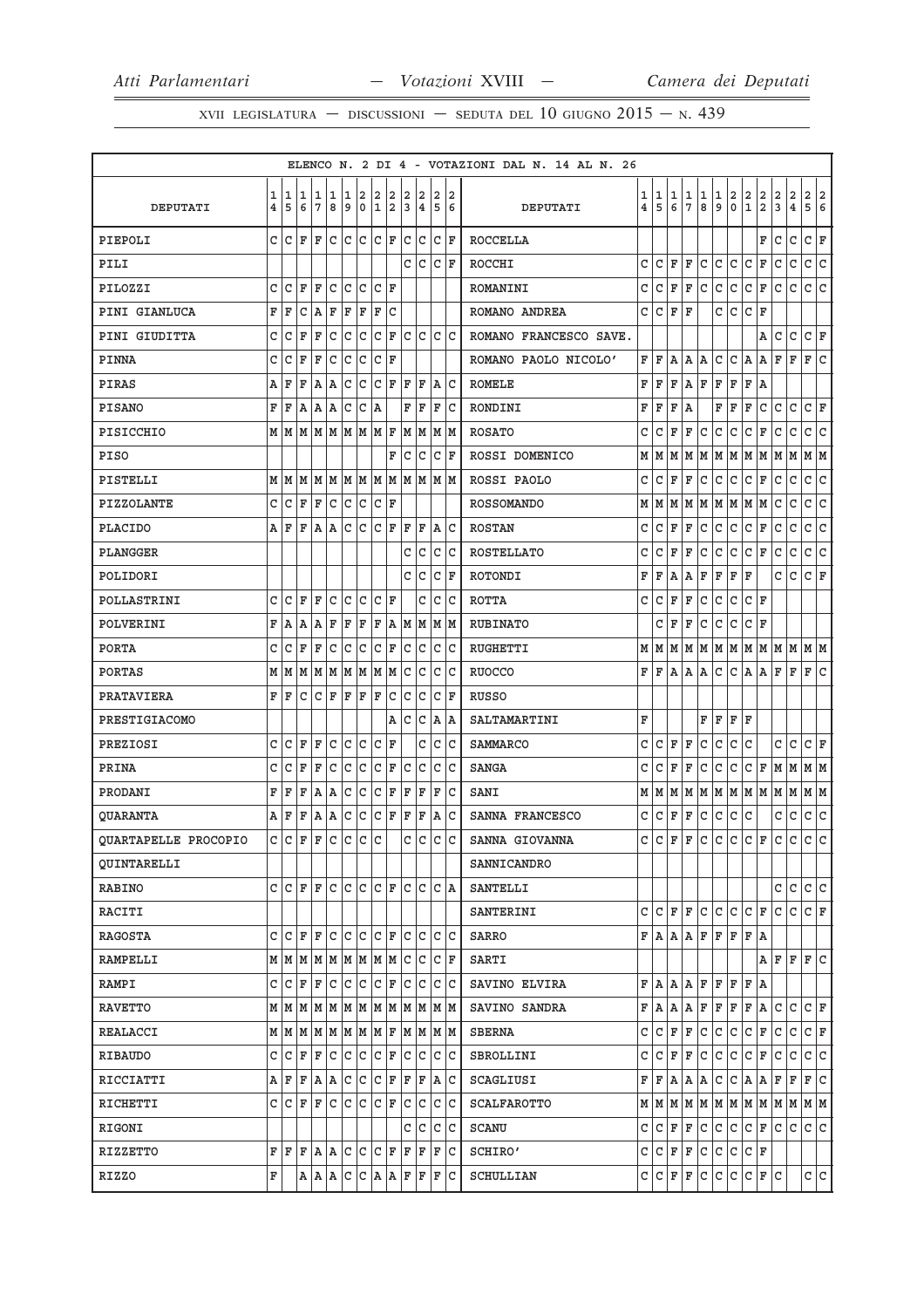XVII LEGISLATURA — DISCUSSIONI — SEDUTA DEL 10 GIUGNO  $2015 - N.439$ 

|                      |        |        |        |                    |              |             |                  |                   |                 |        |                                                                             |        |                        | ELENCO N. 2 DI 4 - VOTAZIONI DAL N. 14 AL N. 26 |        |        |        |                     |        |              |              |                   |                     |                     |                                                    |                                                                             |
|----------------------|--------|--------|--------|--------------------|--------------|-------------|------------------|-------------------|-----------------|--------|-----------------------------------------------------------------------------|--------|------------------------|-------------------------------------------------|--------|--------|--------|---------------------|--------|--------------|--------------|-------------------|---------------------|---------------------|----------------------------------------------------|-----------------------------------------------------------------------------|
| <b>DEPUTATI</b>      | 1<br>4 | 1<br>5 | 1<br>6 | 1<br>7             | 1<br>8       | 1<br>9      | 2<br>$\mathbf 0$ | 2<br>$\mathbf{1}$ | 2<br>2          | 2<br>3 | 2<br>$\overline{\mathbf{4}}$                                                | 2<br>5 | 2<br>6                 | DEPUTATI                                        | 1<br>4 | 1<br>5 | 1<br>6 | 1<br>$\overline{7}$ | 1<br>8 | 1<br>9       | 2<br>0       | 2<br>$\mathbf{1}$ | 2<br>$\overline{a}$ | 2<br>$\overline{3}$ | $\overline{\mathbf{c}}$<br>$\overline{\mathbf{4}}$ | 2<br>$\vert$ 2<br>5<br>6                                                    |
| PIEPOLI              | C      | C      | ΙF     | ΙF                 | C            | lc.         | lc.              | $ c _F$           |                 |        | C C                                                                         |        | $ c $ F                | <b>ROCCELLA</b>                                 |        |        |        |                     |        |              |              |                   | F                   | C                   | $\mathtt{C}$                                       | c.<br>F                                                                     |
| PILI                 |        |        |        |                    |              |             |                  |                   |                 | C      | lc                                                                          |        | $ {\tt C}\, $ F        | ROCCHI                                          | C      | C      | F      | F                   | C      | C            | C            | c                 | F                   | C                   | C                                                  | $\overline{\mathsf{c}}$<br>$\mathtt{C}$                                     |
| PILOZZI              | C      | C      | ΙF     | F                  | C            | C           | c                |                   | $ C $ F         |        |                                                                             |        |                        | ROMANINI                                        | C      | C      | F      | F                   | C      | $\mathsf{C}$ | C            | c                 | F                   | C                   | $\mathtt{C}$                                       | c<br>$\mathtt{C}$                                                           |
| PINI GIANLUCA        | F      | F      | C      | lA.                | ΙF           | F           | ΙF               | F                 | lc              |        |                                                                             |        |                        | ROMANO ANDREA                                   | C      | C      | F      | F                   |        | C            | C            | lc                | F                   |                     |                                                    |                                                                             |
| PINI GIUDITTA        | C      | C      | F      | F                  | C            | c           | lc               |                   | $ {\tt C}\, $ F | C      | lc.                                                                         |        | lc Ic                  | ROMANO FRANCESCO SAVE.                          |        |        |        |                     |        |              |              |                   | Α                   | C                   | C                                                  | c<br>F                                                                      |
| PINNA                | C      | C      | ΙF     | F                  | C            | lc.         | lc               | $ {\tt C} \,  $ F |                 |        |                                                                             |        |                        | ROMANO PAOLO NICOLO'                            | F      | F      | Α      | Α                   | А      | С            | С            | A                 | Α                   | F                   | F                                                  | c<br>F                                                                      |
| PIRAS                | Α      | F      | F      | A                  | ΙA           | С           | C                | С                 | ΙF              | ΙF     | F                                                                           |        | A  C                   | <b>ROMELE</b>                                   | F      | F      | F      | А                   | F      | F            | F            | F                 | A                   |                     |                                                    |                                                                             |
| <b>PISANO</b>        | F      | F      | A      | A A                |              | c           | C                | ۱A                |                 | F      | ΙF                                                                          | F      | lc                     | RONDINI                                         | F      | F      | F      | A                   |        | F            | F            | F                 | $\mathtt{C}$        | c                   | $\mathtt{C}$                                       | c.<br>F                                                                     |
| PISICCHIO            | м      | M      | M      | MMMMMF             |              |             |                  |                   |                 |        | MM                                                                          |        | M M                    | <b>ROSATO</b>                                   | C      | С      | F      | F                   | C      | C            | С            | c                 | F                   | C                   | С                                                  | $\mathtt{C}$<br>C                                                           |
| <b>PISO</b>          |        |        |        |                    |              |             |                  |                   | F               | c      | Iс                                                                          |        | $ {\tt C}\> {\tt F}\>$ | ROSSI DOMENICO                                  | М      | M      | M      | M                   | M      | M            | М            | M                 | M                   | M                   | M                                                  | MM                                                                          |
| PISTELLI             |        | MM     |        |                    |              |             |                  |                   |                 |        |                                                                             |        |                        | ROSSI PAOLO                                     | С      | C      | F      | F                   | С      | C            | C            | c                 | F                   | c                   | $\mathtt{C}$                                       | c<br>c                                                                      |
| PIZZOLANTE           | C      | C      | F      | ΙF                 | C            | lc.         | lc               | $ {\tt C}\, $ F   |                 |        |                                                                             |        |                        | <b>ROSSOMANDO</b>                               | М      | M      | М      | M                   | M      | M            | M            | M                 | M                   | C                   | C                                                  | C<br>C                                                                      |
| <b>PLACIDO</b>       |        | AF     | F      | A  A               |              |             | $ c c c $ F      |                   |                 | F      | ΙF                                                                          |        | A C                    | <b>ROSTAN</b>                                   | C      | C      | F      | F                   | C      | C            | $\mathtt{C}$ | c                 | F                   | C                   | $\mathtt{C}$                                       | lc.<br>lc.                                                                  |
| PLANGGER             |        |        |        |                    |              |             |                  |                   |                 | С      | Iс                                                                          |        | c c                    | <b>ROSTELLATO</b>                               | c      | С      | F      | F                   | С      | С            | C            | C                 | F                   | C                   | C                                                  | С<br>IС                                                                     |
| POLIDORI             |        |        |        |                    |              |             |                  |                   |                 |        | c c                                                                         |        | $ C $ F                | ROTONDI                                         | F      | F      | Α      | Α                   | F      | ΙF           | F            | F                 |                     | C                   | $\mathtt{C}$                                       | c<br>F                                                                      |
| POLLASTRINI          | C      | C      | F      | ΙF                 | C            | C           | lc               |                   | C F             |        | C                                                                           | C      | lc                     | <b>ROTTA</b>                                    | C      | C      | F      | F                   | C      | $\mathsf{C}$ | $\mathtt{C}$ | c                 | ΙF                  |                     |                                                    |                                                                             |
| POLVERINI            | F      | A      | A      | ΙA                 | F            | F           | ΙF               | F                 | ١A              |        | MM                                                                          |        | MM                     | <b>RUBINATO</b>                                 |        | C      | F      | F                   | С      | C            | C            | lc                | F                   |                     |                                                    |                                                                             |
| <b>PORTA</b>         | С      | C      | ΙF     | F                  | C            | lc.         | lc               |                   | $ {\tt C}\, $ F | c.     | Iс                                                                          |        | c c                    | <b>RUGHETTI</b>                                 | М      | M      | M      |                     |        |              |              |                   |                     |                     |                                                    | M   M   M   M   M   M   M   M   M                                           |
| <b>PORTAS</b>        |        | MM     | M      |                    | M   M        | M M         |                  |                   | MM              | C      | lc.                                                                         | C      | ١c                     | <b>RUOCCO</b>                                   | F      | F      | Α      | А                   | А      | C            | С            | A                 | А                   | ΙF                  | F                                                  | F<br>IС                                                                     |
| PRATAVIERA           | F      | ΙF     | С      | $ C $ $\mathbf{F}$ |              | ΙF          | F                | ΙF                | c               |        | c c                                                                         |        | $ C $ F                | RUSSO                                           |        |        |        |                     |        |              |              |                   |                     |                     |                                                    |                                                                             |
| PRESTIGIACOMO        |        |        |        |                    |              |             |                  |                   | Α               | с      | l C                                                                         |        | A  A                   | SALTAMARTINI                                    | F      |        |        |                     | F      | F            | F            | F                 |                     |                     |                                                    |                                                                             |
| PREZIOSI             | C      | C      | F      | F                  | $\mathtt{C}$ | C           | c                |                   | $ C $ F         |        | С                                                                           |        | c c                    | <b>SAMMARCO</b>                                 | C      | C      | F      | F                   | C      | C            | $\mathtt{C}$ | lc                |                     | C                   | C                                                  | c<br>F                                                                      |
| PRINA                | C      | C      | F      | ΙF                 | C            | c           | c                | $\mathtt{C}$      | F               | lc.    | lc                                                                          | C      | lc                     | <b>SANGA</b>                                    | C      | C      | F      | F                   | C      | C            | C            | c                 | F                   | M                   | M                                                  | MM                                                                          |
| PRODANI              | F      | F      | F      | A                  | ΙA           | С           | C                | C                 | F               | F      | F                                                                           | F      | lC                     | SANI                                            | М      | M      | M      | M                   | М      | M            |              |                   |                     |                     |                                                    | M   M   M   M   M   M                                                       |
| <b>QUARANTA</b>      | А      | F      | F      | A                  | ΙA           | C           | c                | $ C $ F           |                 | F      | F                                                                           |        | A C                    | SANNA FRANCESCO                                 | C      | C      | F      | $\mathbf F$         | С      | $\mathtt{C}$ | C            | C                 |                     | С                   | $\mathtt{C}$                                       | $\mathtt{C}$<br> c                                                          |
| QUARTAPELLE PROCOPIO | C      | c      | ΙF     | ΙF                 | lc.          | c           | c c              |                   |                 |        | c c                                                                         | lc.    | lc                     | SANNA GIOVANNA                                  | C      | C      | F      | F                   | C      | C            | lc.          | lc.               | F                   | lc.                 | lc.                                                | c c                                                                         |
| <b>QUINTARELLI</b>   |        |        |        |                    |              |             |                  |                   |                 |        |                                                                             |        |                        | SANNICANDRO                                     |        |        |        |                     |        |              |              |                   |                     |                     |                                                    |                                                                             |
| <b>RABINO</b>        | c      | IC IF  |        | F                  | C            | lc.         | lc.              |                   | C  F            |        | lc Ic                                                                       |        | C  A                   | SANTELLI                                        |        |        |        |                     |        |              |              |                   |                     | С                   | C                                                  | lc.<br>lc.                                                                  |
| RACITI               |        |        |        |                    |              |             |                  |                   |                 |        |                                                                             |        |                        | SANTERINI                                       | C      | lc.    | F      | F                   | C      | c            | $\mathtt{C}$ | c                 | F                   | C                   | $\mathtt{C}$                                       | $ c _{\mathbf{F}}$                                                          |
| RAGOSTA              | c      | l C    | ΙF     | l F                | lc           | $ c c c _F$ |                  |                   |                 |        | c c c c                                                                     |        |                        | SARRO                                           |        | F A    |        | A A                 | F      | F            | F            | F                 | A                   |                     |                                                    |                                                                             |
| RAMPELLI             |        |        |        |                    |              |             |                  |                   |                 |        | $M$   $M$   $M$   $M$   $M$   $M$   $M$   $M$   $C$   $C$                   |        | $ {\tt C}\> {\tt F}\>$ | SARTI                                           |        |        |        |                     |        |              |              |                   | AF                  |                     | lF.                                                | F C                                                                         |
| RAMPI                |        | CCF    |        | ΙF                 | c c c c F    |             |                  |                   |                 |        | lc Ic Ic Ic                                                                 |        |                        | SAVINO ELVIRA                                   | F      | A      | Α      | A                   | F      | F            | F            | F                 | ١A                  |                     |                                                    |                                                                             |
| <b>RAVETTO</b>       |        |        |        |                    |              |             |                  |                   |                 |        | $M$   $M$   $M$   $M$   $M$   $M$   $M$   $M$   $M$   $M$   $M$   $M$   $M$ |        |                        | SAVINO SANDRA                                   | F      | Α      | Α      | Α                   | F      | F            | F            | F                 | A                   | C                   | C                                                  | C F                                                                         |
| REALACCI             |        |        |        |                    |              |             |                  |                   |                 |        |                                                                             |        |                        | <b>SBERNA</b>                                   | C      | lc.    | F      | F                   | c      | c            | c            | c                 | F                   | c                   | c                                                  | $ c _{\mathbf{F}}$                                                          |
| RIBAUDO              | c      | ГC     | F      | F                  | l C          | c c         |                  |                   | C F             |        | c c                                                                         |        | c c                    | SBROLLINI                                       | C      | C      | F      | F                   | С      | C            | l C          | c                 | F                   | C                   | C                                                  | c<br>C                                                                      |
| RICCIATTI            |        | AF     | ΙF     | A  A               |              | c c         |                  | $ C $ F           |                 |        | F F                                                                         |        | A C                    | SCAGLIUSI                                       | F      | F      | A      | A                   | Α      | C            | c            | A                 | A                   | F                   | F                                                  | c<br>F                                                                      |
| RICHETTI             |        | CCF    |        | F C C C F          |              |             |                  |                   |                 |        | C C C C                                                                     |        |                        | <b>SCALFAROTTO</b>                              |        |        |        |                     |        |              |              |                   |                     |                     |                                                    | $M$   $M$   $M$   $M$   $M$   $M$   $M$   $M$   $M$   $M$   $M$   $M$   $M$ |
| RIGONI               |        |        |        |                    |              |             |                  |                   |                 |        | c  c                                                                        |        | c c                    | <b>SCANU</b>                                    | C      | C      | F      | F                   | С      | C            | C            | l C               | F                   | lc.                 | C                                                  | c c                                                                         |
| RIZZETTO             |        | FF     |        | F A A              |              | $ c c c _F$ |                  |                   |                 |        | $F$ $F$ $F$ $C$                                                             |        |                        | SCHIRO'                                         | C      | lc.    | ΙF     | F                   | c      | l c          | l C          | $ c $ F           |                     |                     |                                                    |                                                                             |
| RIZZO                | F      |        |        |                    |              |             |                  |                   |                 |        | A  A  C  C  A  A  F  F  F  C                                                |        |                        | SCHULLIAN                                       | C      | l C    | F      | F                   | c      | l c          | c            | $ c $ F           |                     | lc.                 |                                                    | c c                                                                         |